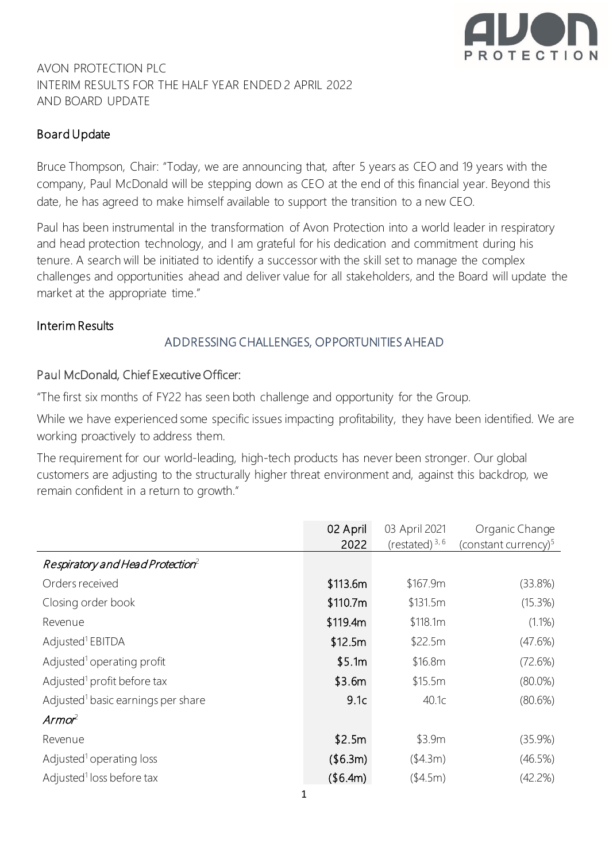

# AVON PROTECTION PLC INTERIM RESULTS FOR THE HALF YEAR ENDED 2 APRIL 2022 AND BOARD UPDATE

# Board Update

Bruce Thompson, Chair: "Today, we are announcing that, after 5 years as CEO and 19 years with the company, Paul McDonald will be stepping down as CEO at the end of this financial year. Beyond this date, he has agreed to make himself available to support the transition to a new CEO.

Paul has been instrumental in the transformation of Avon Protection into a world leader in respiratory and head protection technology, and I am grateful for his dedication and commitment during his tenure. A search will be initiated to identify a successor with the skill set to manage the complex challenges and opportunities ahead and deliver value for all stakeholders, and the Board will update the market at the appropriate time."

#### Interim Results

#### ADDRESSING CHALLENGES, OPPORTUNITIES AHEAD

#### Paul McDonald, Chief Executive Officer:

"The first six months of FY22 has seen both challenge and opportunity for the Group.

While we have experienced some specific issues impacting profitability, they have been identified. We are working proactively to address them.

The requirement for our world-leading, high-tech products has never been stronger. Our global customers are adjusting to the structurally higher threat environment and, against this backdrop, we remain confident in a return to growth."

|                                                | 02 April<br>2022 | 03 April 2021<br>(restated) $3,6$ | Organic Change<br>(constant currency) $5$ |
|------------------------------------------------|------------------|-----------------------------------|-------------------------------------------|
| Respiratory and Head Protection <sup>2</sup>   |                  |                                   |                                           |
| Orders received                                | \$113.6m         | \$167.9m                          | (33.8%)                                   |
| Closing order book                             | \$110.7m         | \$131.5m                          | (15.3%)                                   |
| Revenue                                        | \$119.4m         | \$118.1m                          | (1.1%)                                    |
| Adjusted <sup>1</sup> EBITDA                   | \$12.5m          | \$22.5m                           | (47.6%)                                   |
| Adjusted <sup>1</sup> operating profit         | \$5.1m           | \$16.8m                           | (72.6%)                                   |
| Adjusted <sup>1</sup> profit before tax        | \$3.6m           | \$15.5m                           | $(80.0\%)$                                |
| Adjusted <sup>1</sup> basic earnings per share | 9.1c             | 40.1c                             | (80.6%)                                   |
| $Armor^2$                                      |                  |                                   |                                           |
| Revenue                                        | \$2.5m           | \$3.9m                            | (35.9%)                                   |
| Adjusted <sup>1</sup> operating loss           | (\$6.3m)         | (\$4.3m)                          | (46.5%)                                   |
| Adjusted <sup>1</sup> loss before tax          | (\$6.4m)         | (\$4.5m)                          | (42.2%)                                   |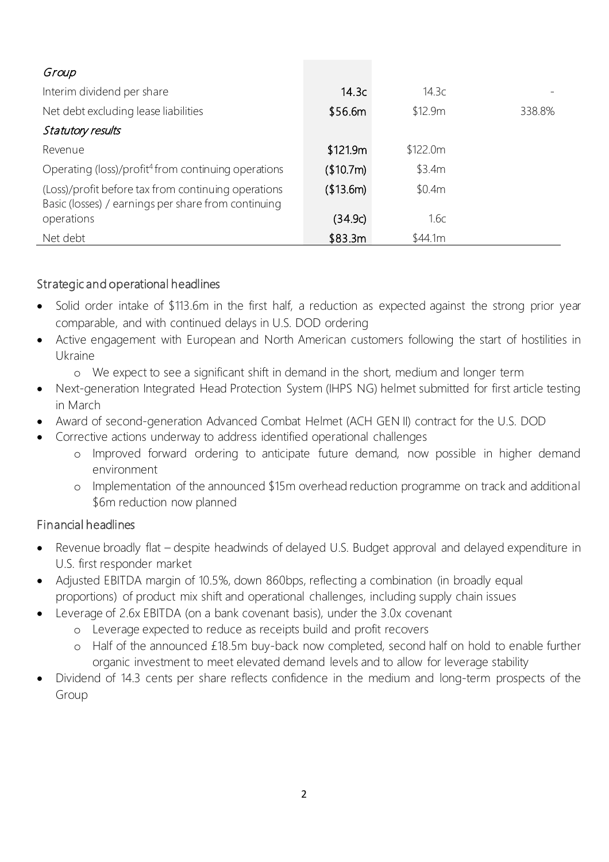| Group                                                                                                      |           |          |        |
|------------------------------------------------------------------------------------------------------------|-----------|----------|--------|
| Interim dividend per share                                                                                 | 14.3c     | 14.3c    |        |
| Net debt excluding lease liabilities                                                                       | \$56.6m   | \$12.9m  | 338.8% |
| Statutory results                                                                                          |           |          |        |
| Revenue                                                                                                    | \$121.9m  | \$122.0m |        |
| Operating (loss)/profit <sup>4</sup> from continuing operations                                            | (\$10.7m) | \$3.4m   |        |
| (Loss)/profit before tax from continuing operations<br>Basic (losses) / earnings per share from continuing | (\$13.6m) | \$0.4m   |        |
| operations                                                                                                 | (34.9c)   | 1.6c     |        |
| Net debt                                                                                                   | \$83.3m   | \$44.1m  |        |

# Strategic and operational headlines

- Solid order intake of \$113.6m in the first half, a reduction as expected against the strong prior year comparable, and with continued delays in U.S. DOD ordering
- Active engagement with European and North American customers following the start of hostilities in Ukraine
	- o We expect to see a significant shift in demand in the short, medium and longer term
- Next-generation Integrated Head Protection System (IHPS NG) helmet submitted for first article testing in March
- Award of second-generation Advanced Combat Helmet (ACH GEN II) contract for the U.S. DOD
- Corrective actions underway to address identified operational challenges
	- o Improved forward ordering to anticipate future demand, now possible in higher demand environment
	- o Implementation of the announced \$15m overhead reduction programme on track and additional \$6m reduction now planned

# Financial headlines

- Revenue broadly flat despite headwinds of delayed U.S. Budget approval and delayed expenditure in U.S. first responder market
- Adjusted EBITDA margin of 10.5%, down 860bps, reflecting a combination (in broadly equal proportions) of product mix shift and operational challenges, including supply chain issues
- Leverage of 2.6x EBITDA (on a bank covenant basis), under the 3.0x covenant
	- o Leverage expected to reduce as receipts build and profit recovers
	- o Half of the announced £18.5m buy-back now completed, second half on hold to enable further organic investment to meet elevated demand levels and to allow for leverage stability
- Dividend of 14.3 cents per share reflects confidence in the medium and long-term prospects of the Group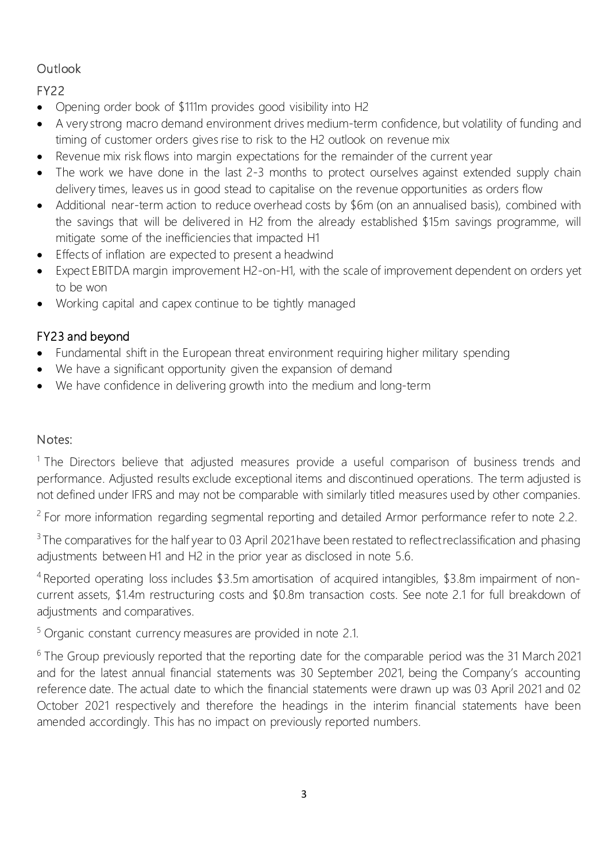# **Outlook**

FY22

- Opening order book of \$111m provides good visibility into H2
- A very strong macro demand environment drives medium-term confidence, but volatility of funding and timing of customer orders gives rise to risk to the H2 outlook on revenue mix
- Revenue mix risk flows into margin expectations for the remainder of the current year
- The work we have done in the last 2-3 months to protect ourselves against extended supply chain delivery times, leaves us in good stead to capitalise on the revenue opportunities as orders flow
- Additional near-term action to reduce overhead costs by \$6m (on an annualised basis), combined with the savings that will be delivered in H2 from the already established \$15m savings programme, will mitigate some of the inefficiencies that impacted H1
- Effects of inflation are expected to present a headwind
- Expect EBITDA margin improvement H2-on-H1, with the scale of improvement dependent on orders yet to be won
- Working capital and capex continue to be tightly managed

# FY23 and beyond

- Fundamental shift in the European threat environment requiring higher military spending
- We have a significant opportunity given the expansion of demand
- We have confidence in delivering growth into the medium and long-term

# Notes:

<sup>1</sup> The Directors believe that adjusted measures provide a useful comparison of business trends and performance. Adjusted results exclude exceptional items and discontinued operations. The term adjusted is not defined under IFRS and may not be comparable with similarly titled measures used by other companies.

<sup>2</sup> For more information regarding segmental reporting and detailed Armor performance refer to note 2.2.

<sup>3</sup> The comparatives for the half year to 03 April 2021 have been restated to reflect reclassification and phasing adjustments between H1 and H2 in the prior year as disclosed in note 5.6.

<sup>4</sup> Reported operating loss includes \$3.5m amortisation of acquired intangibles, \$3.8m impairment of noncurrent assets, \$1.4m restructuring costs and \$0.8m transaction costs. See note 2.1 for full breakdown of adjustments and comparatives.

<sup>5</sup> Organic constant currency measures are provided in note 2.1.

<sup>6</sup> The Group previously reported that the reporting date for the comparable period was the 31 March 2021 and for the latest annual financial statements was 30 September 2021, being the Company's accounting reference date. The actual date to which the financial statements were drawn up was 03 April 2021 and 02 October 2021 respectively and therefore the headings in the interim financial statements have been amended accordingly. This has no impact on previously reported numbers.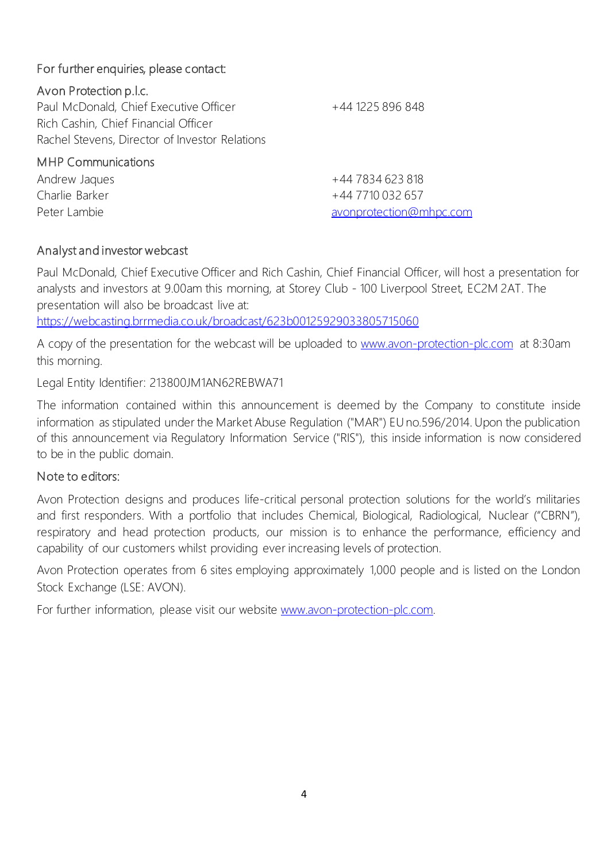# For further enquiries, please contact:

# Avon Protection p.l.c.

Paul McDonald, Chief Executive Officer +44 1225 896 848 Rich Cashin, Chief Financial Officer Rachel Stevens, Director of Investor Relations

MHP Communications Andrew Jaques +44 7834 623 818 Charlie Barker +44 7710 032 657 Peter Lambie [avonprotection@mhpc.com](mailto:avonprotection@mhpc.com)

# Analyst and investor webcast

Paul McDonald, Chief Executive Officer and Rich Cashin, Chief Financial Officer, will host a presentation for analysts and investors at 9.00am this morning, at Storey Club - 100 Liverpool Street, EC2M 2AT. The presentation will also be broadcast live at:

<https://webcasting.brrmedia.co.uk/broadcast/623b00125929033805715060>

A copy of the presentation for the webcast will be uploaded to [www.avon-protection-plc.com](http://www.avon-protection-plc.com/) at 8:30am this morning.

Legal Entity Identifier: 213800JM1AN62REBWA71

The information contained within this announcement is deemed by the Company to constitute inside information as stipulated under the Market Abuse Regulation ("MAR") EU no.596/2014. Upon the publication of this announcement via Regulatory Information Service ("RIS"), this inside information is now considered to be in the public domain.

# Note to editors:

Avon Protection designs and produces life-critical personal protection solutions for the world's militaries and first responders. With a portfolio that includes Chemical, Biological, Radiological, Nuclear ("CBRN"), respiratory and head protection products, our mission is to enhance the performance, efficiency and capability of our customers whilst providing ever increasing levels of protection.

Avon Protection operates from 6 sites employing approximately 1,000 people and is listed on the London Stock Exchange (LSE: AVON).

For further information, please visit our website www.avon-protection-plc.com.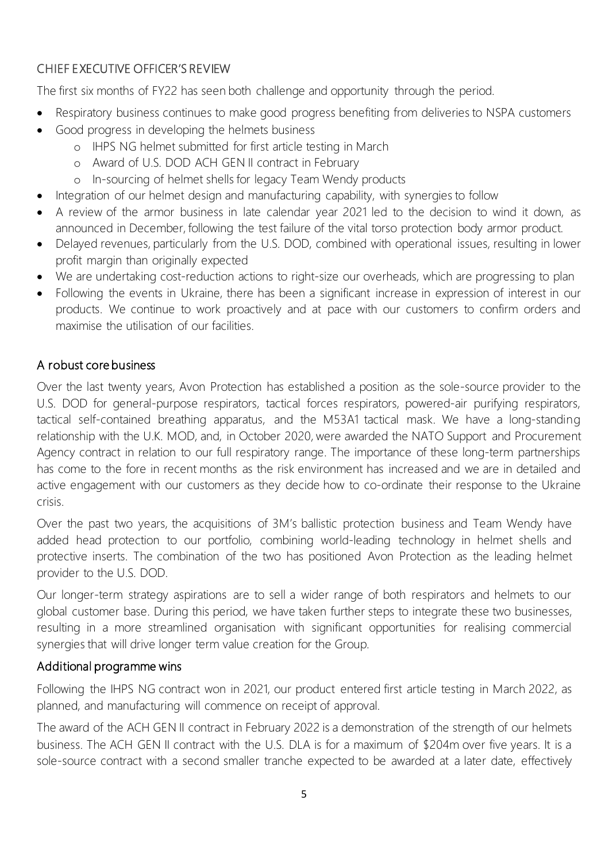# CHIEF EXECUTIVE OFFICER'S REVIEW

The first six months of FY22 has seen both challenge and opportunity through the period.

- Respiratory business continues to make good progress benefiting from deliveries to NSPA customers
- Good progress in developing the helmets business
	- o IHPS NG helmet submitted for first article testing in March
	- o Award of U.S. DOD ACH GEN II contract in February
	- o In-sourcing of helmet shells for legacy Team Wendy products
- Integration of our helmet design and manufacturing capability, with synergies to follow
- A review of the armor business in late calendar year 2021 led to the decision to wind it down, as announced in December, following the test failure of the vital torso protection body armor product.
- Delayed revenues, particularly from the U.S. DOD, combined with operational issues, resulting in lower profit margin than originally expected
- We are undertaking cost-reduction actions to right-size our overheads, which are progressing to plan
- Following the events in Ukraine, there has been a significant increase in expression of interest in our products. We continue to work proactively and at pace with our customers to confirm orders and maximise the utilisation of our facilities.

# A robust core business

Over the last twenty years, Avon Protection has established a position as the sole-source provider to the U.S. DOD for general-purpose respirators, tactical forces respirators, powered-air purifying respirators, tactical self-contained breathing apparatus, and the M53A1 tactical mask. We have a long-standing relationship with the U.K. MOD, and, in October 2020, were awarded the NATO Support and Procurement Agency contract in relation to our full respiratory range. The importance of these long-term partnerships has come to the fore in recent months as the risk environment has increased and we are in detailed and active engagement with our customers as they decide how to co-ordinate their response to the Ukraine crisis.

Over the past two years, the acquisitions of 3M's ballistic protection business and Team Wendy have added head protection to our portfolio, combining world-leading technology in helmet shells and protective inserts. The combination of the two has positioned Avon Protection as the leading helmet provider to the U.S. DOD.

Our longer-term strategy aspirations are to sell a wider range of both respirators and helmets to our global customer base. During this period, we have taken further steps to integrate these two businesses, resulting in a more streamlined organisation with significant opportunities for realising commercial synergies that will drive longer term value creation for the Group.

# Additional programme wins

Following the IHPS NG contract won in 2021, our product entered first article testing in March 2022, as planned, and manufacturing will commence on receipt of approval.

The award of the ACH GEN II contract in February 2022 is a demonstration of the strength of our helmets business. The ACH GEN II contract with the U.S. DLA is for a maximum of \$204m over five years. It is a sole-source contract with a second smaller tranche expected to be awarded at a later date, effectively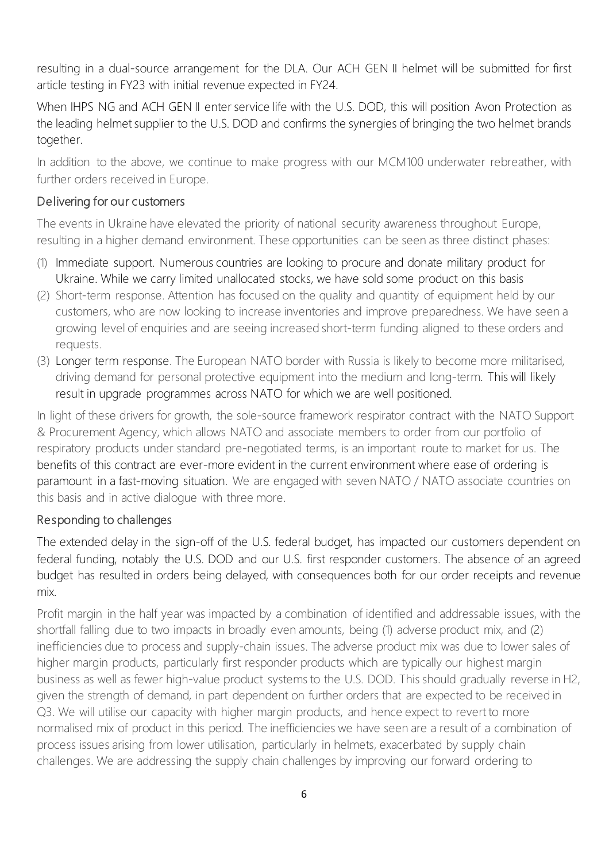resulting in a dual-source arrangement for the DLA. Our ACH GEN II helmet will be submitted for first article testing in FY23 with initial revenue expected in FY24.

When IHPS NG and ACH GEN II enter service life with the U.S. DOD, this will position Avon Protection as the leading helmet supplier to the U.S. DOD and confirms the synergies of bringing the two helmet brands together.

In addition to the above, we continue to make progress with our MCM100 underwater rebreather, with further orders received in Europe.

### Delivering for our customers

The events in Ukraine have elevated the priority of national security awareness throughout Europe, resulting in a higher demand environment. These opportunities can be seen as three distinct phases:

- (1) Immediate support. Numerous countries are looking to procure and donate military product for Ukraine. While we carry limited unallocated stocks, we have sold some product on this basis
- (2) Short-term response. Attention has focused on the quality and quantity of equipment held by our customers, who are now looking to increase inventories and improve preparedness. We have seen a growing level of enquiries and are seeing increased short-term funding aligned to these orders and requests.
- (3) Longer term response. The European NATO border with Russia is likely to become more militarised, driving demand for personal protective equipment into the medium and long-term. This will likely result in upgrade programmes across NATO for which we are well positioned.

In light of these drivers for growth, the sole-source framework respirator contract with the NATO Support & Procurement Agency, which allows NATO and associate members to order from our portfolio of respiratory products under standard pre-negotiated terms, is an important route to market for us. The benefits of this contract are ever-more evident in the current environment where ease of ordering is paramount in a fast-moving situation. We are engaged with seven NATO / NATO associate countries on this basis and in active dialogue with three more.

# Responding to challenges

The extended delay in the sign-off of the U.S. federal budget, has impacted our customers dependent on federal funding, notably the U.S. DOD and our U.S. first responder customers. The absence of an agreed budget has resulted in orders being delayed, with consequences both for our order receipts and revenue mix.

Profit margin in the half year was impacted by a combination of identified and addressable issues, with the shortfall falling due to two impacts in broadly even amounts, being (1) adverse product mix, and (2) inefficiencies due to process and supply-chain issues. The adverse product mix was due to lower sales of higher margin products, particularly first responder products which are typically our highest margin business as well as fewer high-value product systems to the U.S. DOD. This should gradually reverse in H2, given the strength of demand, in part dependent on further orders that are expected to be received in Q3. We will utilise our capacity with higher margin products, and hence expect to revert to more normalised mix of product in this period. The inefficiencies we have seen are a result of a combination of process issues arising from lower utilisation, particularly in helmets, exacerbated by supply chain challenges. We are addressing the supply chain challenges by improving our forward ordering to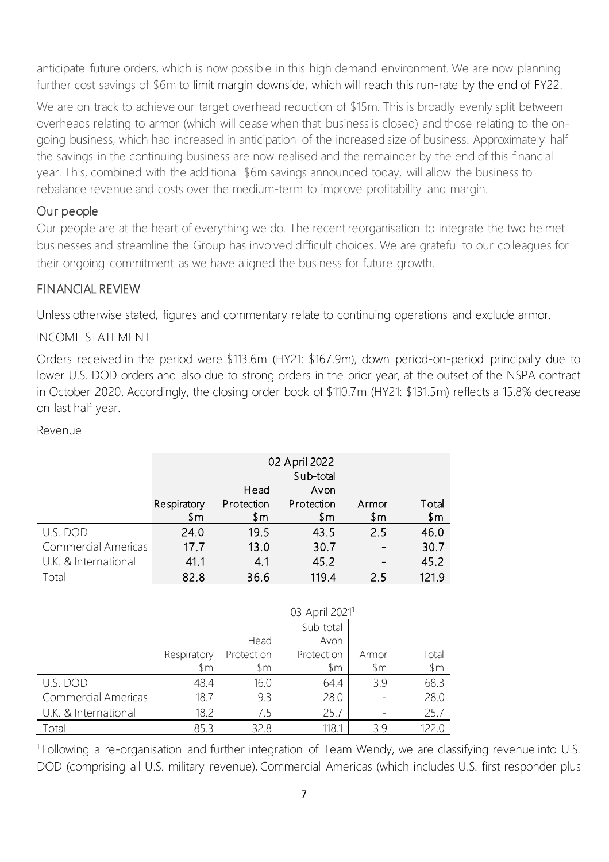anticipate future orders, which is now possible in this high demand environment. We are now planning further cost savings of \$6m to limit margin downside, which will reach this run-rate by the end of FY22.

We are on track to achieve our target overhead reduction of \$15m. This is broadly evenly split between overheads relating to armor (which will cease when that business is closed) and those relating to the ongoing business, which had increased in anticipation of the increased size of business. Approximately half the savings in the continuing business are now realised and the remainder by the end of this financial year. This, combined with the additional \$6m savings announced today, will allow the business to rebalance revenue and costs over the medium-term to improve profitability and margin.

### Our people

Our people are at the heart of everything we do. The recent reorganisation to integrate the two helmet businesses and streamline the Group has involved difficult choices. We are grateful to our colleagues for their ongoing commitment as we have aligned the business for future growth.

#### FINANCIAL REVIEW

Unless otherwise stated, figures and commentary relate to continuing operations and exclude armor.

#### INCOME STATEMENT

Orders received in the period were \$113.6m (HY21: \$167.9m), down period-on-period principally due to lower U.S. DOD orders and also due to strong orders in the prior year, at the outset of the NSPA contract in October 2020. Accordingly, the closing order book of \$110.7m (HY21: \$131.5m) reflects a 15.8% decrease on last half year.

Revenue

|                            | 02 April 2022  |            |            |       |       |  |  |
|----------------------------|----------------|------------|------------|-------|-------|--|--|
|                            |                | Sub-total  |            |       |       |  |  |
|                            |                | Head       | Avon       |       |       |  |  |
|                            | Respiratory    | Protection | Protection | Armor | Total |  |  |
|                            | $\mathsf{S}$ m | \$m        | \$m        | \$m   | \$m\$ |  |  |
| U.S. DOD                   | 24.0           | 19.5       | 43.5       | 2.5   | 46.0  |  |  |
| <b>Commercial Americas</b> | 17.7           | 13.0       | 30.7       |       | 30.7  |  |  |
| U.K. & International       | 41.1           | 4.1        | 45.2       |       | 45.2  |  |  |
| Гоtal                      | 82.8           | 36.6       | 119.4      | 25    | 1219  |  |  |

|                            |                    | Head                         | 03 April 2021 <sup>1</sup><br>Sub-total<br>Avon |                         |                 |
|----------------------------|--------------------|------------------------------|-------------------------------------------------|-------------------------|-----------------|
|                            | Respiratory<br>\$m | Protection<br>$\mathfrak{m}$ | Protection<br>\$m                               | Armor<br>$\mathfrak{m}$ | Total<br>$~\$m$ |
| U.S. DOD                   | 48.4               | 16.0                         | 64.4                                            | 39                      | 68.3            |
| <b>Commercial Americas</b> | 18.7               | 9.3                          | 28.0                                            |                         | 28.0            |
| U.K. & International       | 18.2               | 7.5                          | 25.7                                            |                         | 25.7            |
| Гоtal                      | 85.3               | 32 R                         | 118.1                                           | 39                      |                 |

1 Following a re-organisation and further integration of Team Wendy, we are classifying revenue into U.S. DOD (comprising all U.S. military revenue), Commercial Americas (which includes U.S. first responder plus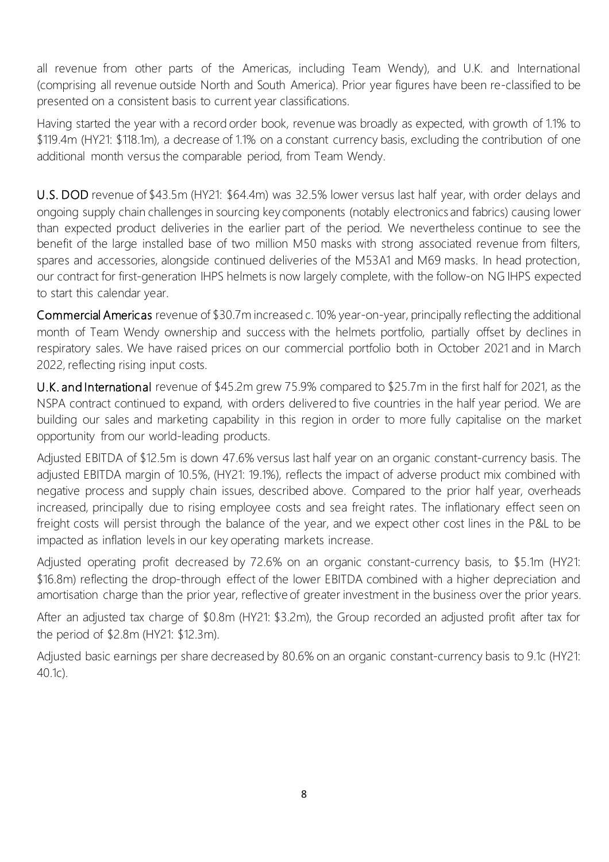all revenue from other parts of the Americas, including Team Wendy), and U.K. and International (comprising all revenue outside North and South America). Prior year figures have been re-classified to be presented on a consistent basis to current year classifications.

Having started the year with a record order book, revenue was broadly as expected, with growth of 1.1% to \$119.4m (HY21: \$118.1m), a decrease of 1.1% on a constant currency basis, excluding the contribution of one additional month versus the comparable period, from Team Wendy.

U.S. DOD revenue of \$43.5m (HY21: \$64.4m) was 32.5% lower versus last half year, with order delays and ongoing supply chain challenges in sourcing key components (notably electronics and fabrics) causing lower than expected product deliveries in the earlier part of the period. We nevertheless continue to see the benefit of the large installed base of two million M50 masks with strong associated revenue from filters, spares and accessories, alongside continued deliveries of the M53A1 and M69 masks. In head protection, our contract for first-generation IHPS helmets is now largely complete, with the follow-on NG IHPS expected to start this calendar year.

Commercial Americas revenue of \$30.7m increased c. 10% year-on-year, principally reflecting the additional month of Team Wendy ownership and success with the helmets portfolio, partially offset by declines in respiratory sales. We have raised prices on our commercial portfolio both in October 2021 and in March 2022, reflecting rising input costs.

U.K. and International revenue of \$45.2m grew 75.9% compared to \$25.7m in the first half for 2021, as the NSPA contract continued to expand, with orders delivered to five countries in the half year period. We are building our sales and marketing capability in this region in order to more fully capitalise on the market opportunity from our world-leading products.

Adjusted EBITDA of \$12.5m is down 47.6% versus last half year on an organic constant-currency basis. The adjusted EBITDA margin of 10.5%, (HY21: 19.1%), reflects the impact of adverse product mix combined with negative process and supply chain issues, described above. Compared to the prior half year, overheads increased, principally due to rising employee costs and sea freight rates. The inflationary effect seen on freight costs will persist through the balance of the year, and we expect other cost lines in the P&L to be impacted as inflation levels in our key operating markets increase.

Adjusted operating profit decreased by 72.6% on an organic constant-currency basis, to \$5.1m (HY21: \$16.8m) reflecting the drop-through effect of the lower EBITDA combined with a higher depreciation and amortisation charge than the prior year, reflective of greater investment in the business over the prior years.

After an adjusted tax charge of \$0.8m (HY21: \$3.2m), the Group recorded an adjusted profit after tax for the period of \$2.8m (HY21: \$12.3m).

Adjusted basic earnings per share decreased by 80.6% on an organic constant-currency basis to 9.1c (HY21: 40.1c).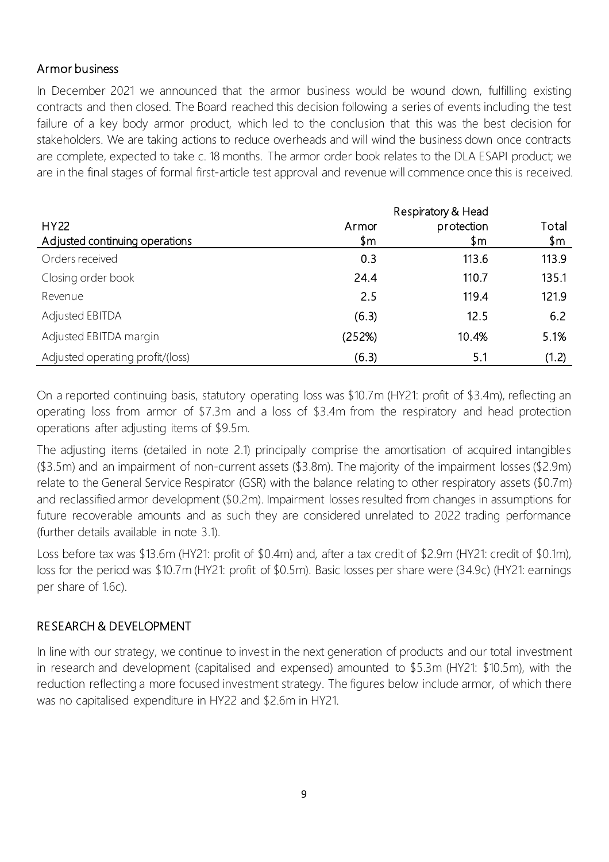#### Armor business

In December 2021 we announced that the armor business would be wound down, fulfilling existing contracts and then closed. The Board reached this decision following a series of events including the test failure of a key body armor product, which led to the conclusion that this was the best decision for stakeholders. We are taking actions to reduce overheads and will wind the business down once contracts are complete, expected to take c. 18 months. The armor order book relates to the DLA ESAPI product; we are in the final stages of formal first-article test approval and revenue will commence once this is received.

|                                        | Respiratory & Head |                   |              |  |  |
|----------------------------------------|--------------------|-------------------|--------------|--|--|
| HY22<br>Adjusted continuing operations | Armor<br>\$m       | protection<br>\$m | Total<br>\$m |  |  |
| Orders received                        | 0.3                | 113.6             | 113.9        |  |  |
| Closing order book                     | 24.4               | 110.7             | 135.1        |  |  |
| Revenue                                | 2.5                | 119.4             | 121.9        |  |  |
| <b>Adjusted EBITDA</b>                 | (6.3)              | 12.5              | 6.2          |  |  |
| Adjusted EBITDA margin                 | (252%)             | 10.4%             | 5.1%         |  |  |
| Adjusted operating profit/(loss)       | (6.3)              | 5.1               | (1.2)        |  |  |

On a reported continuing basis, statutory operating loss was \$10.7m (HY21: profit of \$3.4m), reflecting an operating loss from armor of \$7.3m and a loss of \$3.4m from the respiratory and head protection operations after adjusting items of \$9.5m.

The adjusting items (detailed in note 2.1) principally comprise the amortisation of acquired intangibles (\$3.5m) and an impairment of non-current assets (\$3.8m). The majority of the impairment losses (\$2.9m) relate to the General Service Respirator (GSR) with the balance relating to other respiratory assets (\$0.7m) and reclassified armor development (\$0.2m). Impairment losses resulted from changes in assumptions for future recoverable amounts and as such they are considered unrelated to 2022 trading performance (further details available in note 3.1).

Loss before tax was \$13.6m (HY21: profit of \$0.4m) and, after a tax credit of \$2.9m (HY21: credit of \$0.1m), loss for the period was \$10.7m (HY21: profit of \$0.5m). Basic losses per share were (34.9c) (HY21: earnings per share of 1.6c).

# RESEARCH & DEVELOPMENT

In line with our strategy, we continue to invest in the next generation of products and our total investment in research and development (capitalised and expensed) amounted to \$5.3m (HY21: \$10.5m), with the reduction reflecting a more focused investment strategy. The figures below include armor, of which there was no capitalised expenditure in HY22 and \$2.6m in HY21.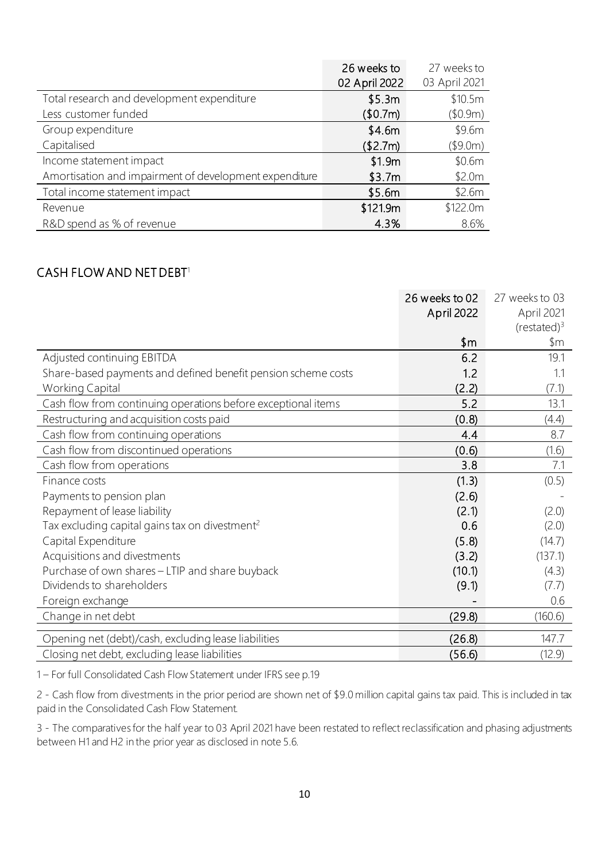|                                                        | 26 weeks to   | 27 weeks to   |
|--------------------------------------------------------|---------------|---------------|
|                                                        | 02 April 2022 | 03 April 2021 |
| Total research and development expenditure             | \$5.3m        | \$10.5m       |
| Less customer funded                                   | (\$0.7m)      | (\$0.9m)      |
| Group expenditure                                      | \$4.6m        | \$9.6m        |
| Capitalised                                            | (\$2.7m)      | (\$9.0m)      |
| Income statement impact                                | \$1.9m        | \$0.6m        |
| Amortisation and impairment of development expenditure | \$3.7m        | \$2.0m        |
| Total income statement impact                          | \$5.6m        | \$2.6m        |
| Revenue                                                | \$121.9m      | \$122.0m      |
| R&D spend as % of revenue                              | 4.3%          | 8.6%          |

#### CASH FLOW AND NET DEBT $^1$

|                                                               | 26 weeks to 02 | 27 weeks to 03        |
|---------------------------------------------------------------|----------------|-----------------------|
|                                                               | April 2022     | April 2021            |
|                                                               |                | (rested) <sup>3</sup> |
|                                                               | \$m            | \$m                   |
| Adjusted continuing EBITDA                                    | 6.2            | 19.1                  |
| Share-based payments and defined benefit pension scheme costs | 1.2            | 1.1                   |
| <b>Working Capital</b>                                        | (2.2)          | (7.1)                 |
| Cash flow from continuing operations before exceptional items | 5.2            | 13.1                  |
| Restructuring and acquisition costs paid                      | (0.8)          | (4.4)                 |
| Cash flow from continuing operations                          | 4.4            | 8.7                   |
| Cash flow from discontinued operations                        | (0.6)          | (1.6)                 |
| Cash flow from operations                                     | 3.8            | 7.1                   |
| Finance costs                                                 | (1.3)          | (0.5)                 |
| Payments to pension plan                                      | (2.6)          |                       |
| Repayment of lease liability                                  | (2.1)          | (2.0)                 |
| Tax excluding capital gains tax on divestment <sup>2</sup>    | 0.6            | (2.0)                 |
| Capital Expenditure                                           | (5.8)          | (14.7)                |
| Acquisitions and divestments                                  | (3.2)          | (137.1)               |
| Purchase of own shares - LTIP and share buyback               | (10.1)         | (4.3)                 |
| Dividends to shareholders                                     | (9.1)          | (7.7)                 |
| Foreign exchange                                              |                | 0.6                   |
| Change in net debt                                            | (29.8)         | (160.6)               |
| Opening net (debt)/cash, excluding lease liabilities          | (26.8)         | 147.7                 |
| Closing net debt, excluding lease liabilities                 | (56.6)         | (12.9)                |

1 – For full Consolidated Cash Flow Statement under IFRS see p.19

2 - Cash flow from divestments in the prior period are shown net of \$9.0 million capital gains tax paid. This is included in tax paid in the Consolidated Cash Flow Statement.

3 - The comparatives for the half year to 03 April 2021 have been restated to reflect reclassification and phasing adjustments between H1 and H2 in the prior year as disclosed in note 5.6.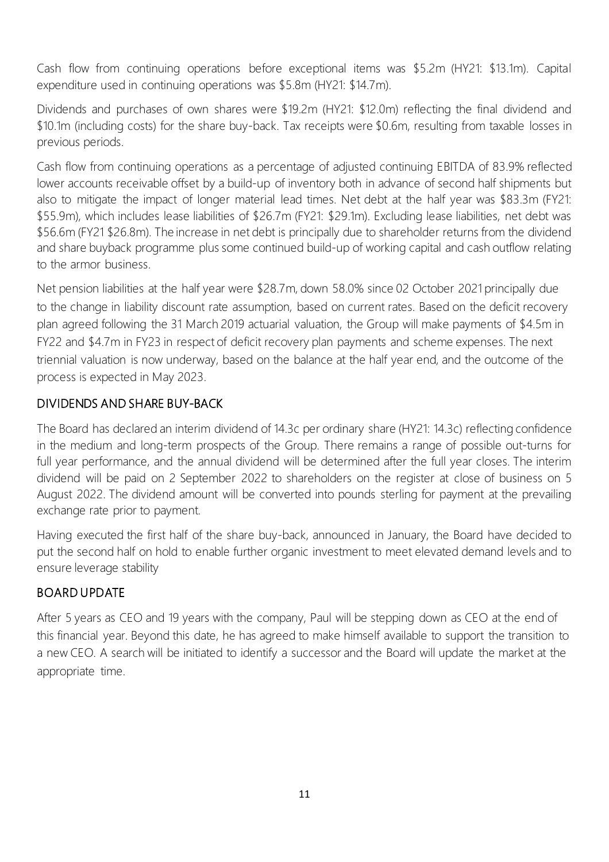Cash flow from continuing operations before exceptional items was \$5.2m (HY21: \$13.1m). Capital expenditure used in continuing operations was \$5.8m (HY21: \$14.7m).

Dividends and purchases of own shares were \$19.2m (HY21: \$12.0m) reflecting the final dividend and \$10.1m (including costs) for the share buy-back. Tax receipts were \$0.6m, resulting from taxable losses in previous periods.

Cash flow from continuing operations as a percentage of adjusted continuing EBITDA of 83.9% reflected lower accounts receivable offset by a build-up of inventory both in advance of second half shipments but also to mitigate the impact of longer material lead times. Net debt at the half year was \$83.3m (FY21: \$55.9m), which includes lease liabilities of \$26.7m (FY21: \$29.1m). Excluding lease liabilities, net debt was \$56.6m (FY21 \$26.8m). The increase in net debt is principally due to shareholder returns from the dividend and share buyback programme plus some continued build-up of working capital and cash outflow relating to the armor business.

Net pension liabilities at the half year were \$28.7m, down 58.0% since 02 October 2021 principally due to the change in liability discount rate assumption, based on current rates. Based on the deficit recovery plan agreed following the 31 March 2019 actuarial valuation, the Group will make payments of \$4.5m in FY22 and \$4.7m in FY23 in respect of deficit recovery plan payments and scheme expenses. The next triennial valuation is now underway, based on the balance at the half year end, and the outcome of the process is expected in May 2023.

# DIVIDENDS AND SHARE BUY-BACK

The Board has declared an interim dividend of 14.3c per ordinary share (HY21: 14.3c) reflecting confidence in the medium and long-term prospects of the Group. There remains a range of possible out-turns for full year performance, and the annual dividend will be determined after the full year closes. The interim dividend will be paid on 2 September 2022 to shareholders on the register at close of business on 5 August 2022. The dividend amount will be converted into pounds sterling for payment at the prevailing exchange rate prior to payment.

Having executed the first half of the share buy-back, announced in January, the Board have decided to put the second half on hold to enable further organic investment to meet elevated demand levels and to ensure leverage stability

# BOARD UPDATE

After 5 years as CEO and 19 years with the company, Paul will be stepping down as CEO at the end of this financial year. Beyond this date, he has agreed to make himself available to support the transition to a new CEO. A search will be initiated to identify a successor and the Board will update the market at the appropriate time.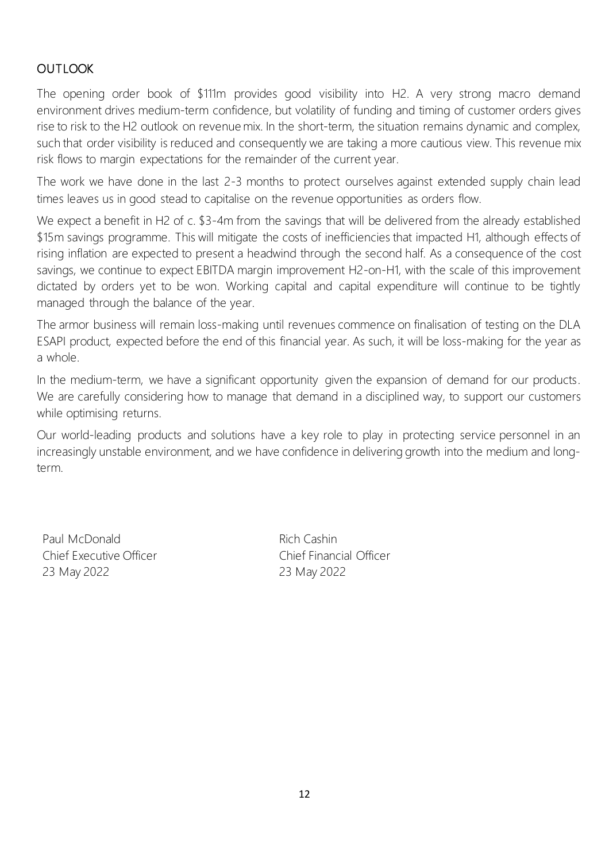# **OUTLOOK**

The opening order book of \$111m provides good visibility into H2. A very strong macro demand environment drives medium-term confidence, but volatility of funding and timing of customer orders gives rise to risk to the H2 outlook on revenue mix. In the short-term, the situation remains dynamic and complex, such that order visibility is reduced and consequently we are taking a more cautious view. This revenue mix risk flows to margin expectations for the remainder of the current year.

The work we have done in the last 2-3 months to protect ourselves against extended supply chain lead times leaves us in good stead to capitalise on the revenue opportunities as orders flow.

We expect a benefit in H2 of c. \$3-4m from the savings that will be delivered from the already established \$15m savings programme. This will mitigate the costs of inefficiencies that impacted H1, although effects of rising inflation are expected to present a headwind through the second half. As a consequence of the cost savings, we continue to expect EBITDA margin improvement H2-on-H1, with the scale of this improvement dictated by orders yet to be won. Working capital and capital expenditure will continue to be tightly managed through the balance of the year.

The armor business will remain loss-making until revenues commence on finalisation of testing on the DLA ESAPI product, expected before the end of this financial year. As such, it will be loss-making for the year as a whole.

In the medium-term, we have a significant opportunity given the expansion of demand for our products. We are carefully considering how to manage that demand in a disciplined way, to support our customers while optimising returns.

Our world-leading products and solutions have a key role to play in protecting service personnel in an increasingly unstable environment, and we have confidence in delivering growth into the medium and longterm.

Paul McDonald Chief Executive Officer 23 May 2022

Rich Cashin Chief Financial Officer 23 May 2022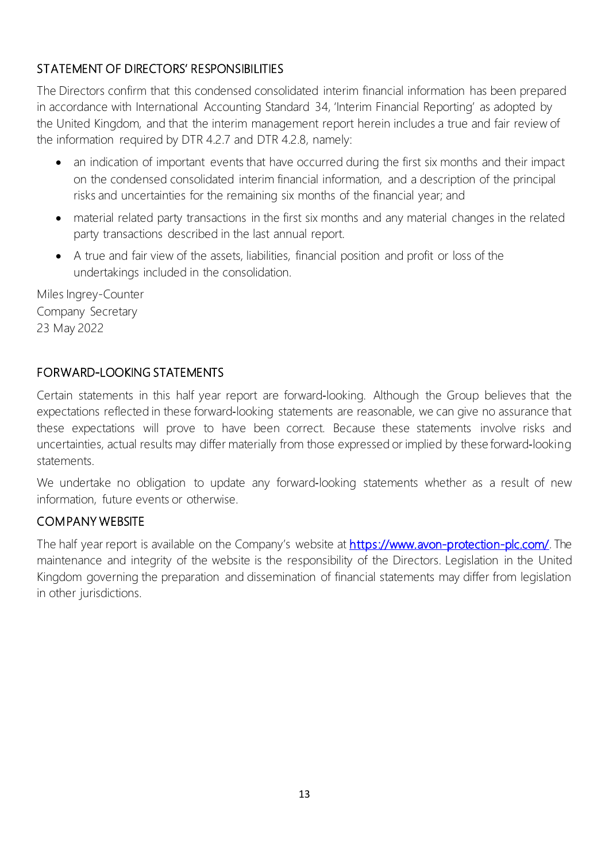# STATEMENT OF DIRECTORS' RESPONSIBILITIES

The Directors confirm that this condensed consolidated interim financial information has been prepared in accordance with International Accounting Standard 34, 'Interim Financial Reporting' as adopted by the United Kingdom, and that the interim management report herein includes a true and fair review of the information required by DTR 4.2.7 and DTR 4.2.8, namely:

- an indication of important events that have occurred during the first six months and their impact on the condensed consolidated interim financial information, and a description of the principal risks and uncertainties for the remaining six months of the financial year; and
- material related party transactions in the first six months and any material changes in the related party transactions described in the last annual report.
- A true and fair view of the assets, liabilities, financial position and profit or loss of the undertakings included in the consolidation.

Miles Ingrey-Counter Company Secretary 23 May 2022

# FORWARD-LOOKING STATEMENTS

Certain statements in this half year report are forward‐looking. Although the Group believes that the expectations reflected in these forward‐looking statements are reasonable, we can give no assurance that these expectations will prove to have been correct. Because these statements involve risks and uncertainties, actual results may differ materially from those expressed or implied by these forward‐looking statements.

We undertake no obligation to update any forward-looking statements whether as a result of new information, future events or otherwise.

# COMPANY WEBSITE

The half year report is available on the Company's website at [https://www.avon-protection-plc.com/.](https://www.avon-protection-plc.com/) The maintenance and integrity of the website is the responsibility of the Directors. Legislation in the United Kingdom governing the preparation and dissemination of financial statements may differ from legislation in other jurisdictions.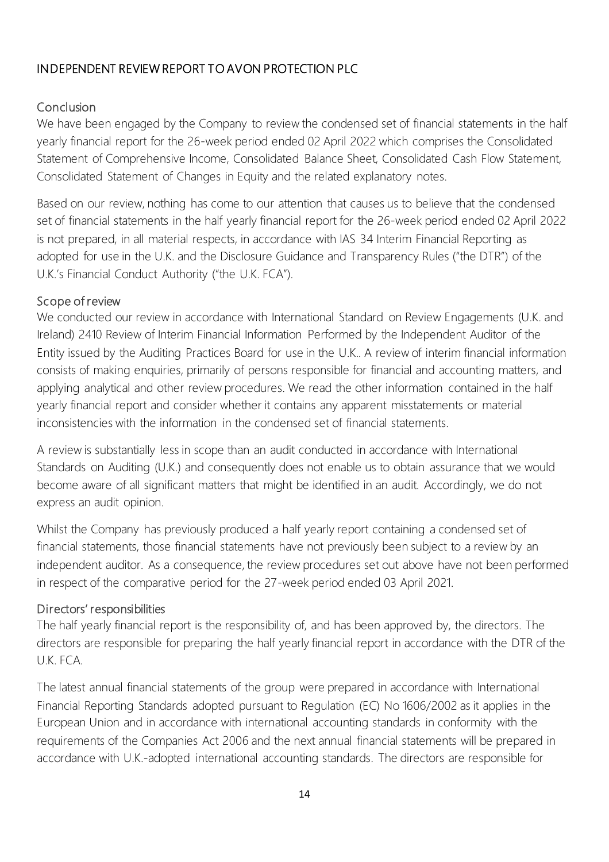# INDEPENDENT REVIEW REPORT TO AVON PROTECTION PLC

# Conclusion

We have been engaged by the Company to review the condensed set of financial statements in the half yearly financial report for the 26-week period ended 02 April 2022 which comprises the Consolidated Statement of Comprehensive Income, Consolidated Balance Sheet, Consolidated Cash Flow Statement, Consolidated Statement of Changes in Equity and the related explanatory notes.

Based on our review, nothing has come to our attention that causes us to believe that the condensed set of financial statements in the half yearly financial report for the 26-week period ended 02 April 2022 is not prepared, in all material respects, in accordance with IAS 34 Interim Financial Reporting as adopted for use in the U.K. and the Disclosure Guidance and Transparency Rules ("the DTR") of the U.K.'s Financial Conduct Authority ("the U.K. FCA").

#### Scope of review

We conducted our review in accordance with International Standard on Review Engagements (U.K. and Ireland) 2410 Review of Interim Financial Information Performed by the Independent Auditor of the Entity issued by the Auditing Practices Board for use in the U.K.. A review of interim financial information consists of making enquiries, primarily of persons responsible for financial and accounting matters, and applying analytical and other review procedures. We read the other information contained in the half yearly financial report and consider whether it contains any apparent misstatements or material inconsistencies with the information in the condensed set of financial statements.

A review is substantially less in scope than an audit conducted in accordance with International Standards on Auditing (U.K.) and consequently does not enable us to obtain assurance that we would become aware of all significant matters that might be identified in an audit. Accordingly, we do not express an audit opinion.

Whilst the Company has previously produced a half yearly report containing a condensed set of financial statements, those financial statements have not previously been subject to a review by an independent auditor. As a consequence, the review procedures set out above have not been performed in respect of the comparative period for the 27-week period ended 03 April 2021.

# Directors' responsibilities

The half yearly financial report is the responsibility of, and has been approved by, the directors. The directors are responsible for preparing the half yearly financial report in accordance with the DTR of the U.K. FCA.

The latest annual financial statements of the group were prepared in accordance with International Financial Reporting Standards adopted pursuant to Regulation (EC) No 1606/2002 as it applies in the European Union and in accordance with international accounting standards in conformity with the requirements of the Companies Act 2006 and the next annual financial statements will be prepared in accordance with U.K.-adopted international accounting standards. The directors are responsible for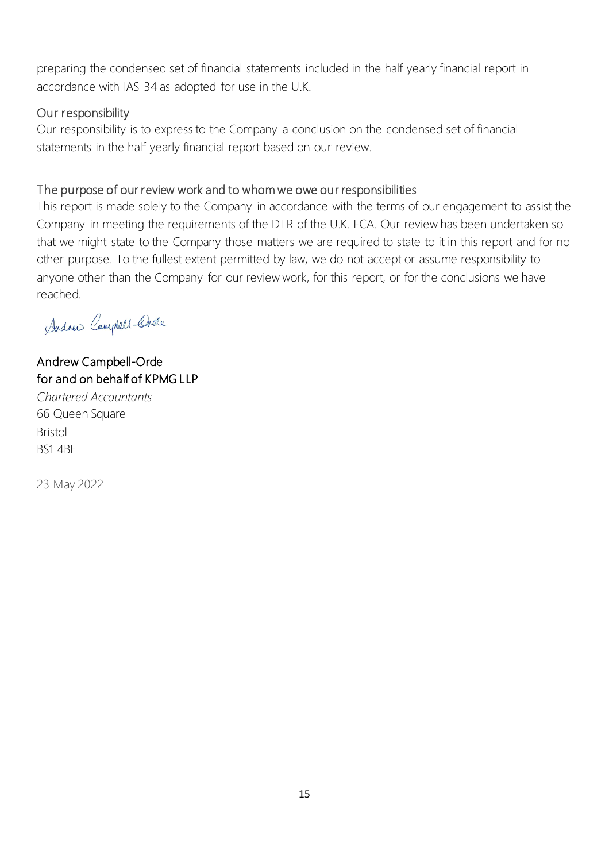preparing the condensed set of financial statements included in the half yearly financial report in accordance with IAS 34 as adopted for use in the U.K.

#### Our responsibility

Our responsibility is to express to the Company a conclusion on the condensed set of financial statements in the half yearly financial report based on our review.

#### The purpose of our review work and to whom we owe our responsibilities

This report is made solely to the Company in accordance with the terms of our engagement to assist the Company in meeting the requirements of the DTR of the U.K. FCA. Our review has been undertaken so that we might state to the Company those matters we are required to state to it in this report and for no other purpose. To the fullest extent permitted by law, we do not accept or assume responsibility to anyone other than the Company for our review work, for this report, or for the conclusions we have reached.

Andrew Campbell-Chele

# Andrew Campbell-Orde for and on behalf of KPMG LLP

*Chartered Accountants* 66 Queen Square Bristol BS1 4BE

23 May 2022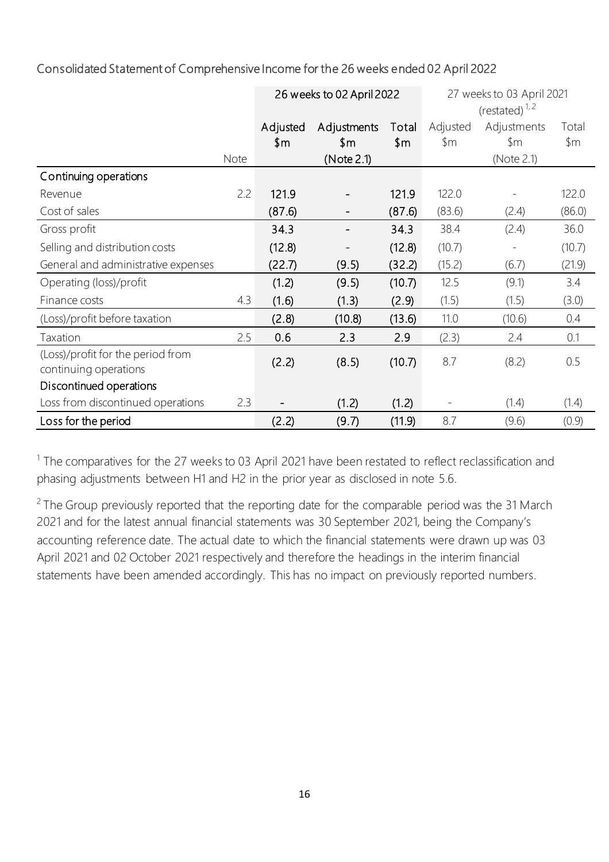# Consolidated Statement of Comprehensive Income for the 26 weeks ended 02 April 2022

|                                                            |      | 26 weeks to 02 April 2022 |             |        | 27 weeks to 03 April 2021 |                   |        |
|------------------------------------------------------------|------|---------------------------|-------------|--------|---------------------------|-------------------|--------|
|                                                            |      |                           |             |        |                           | (restated) $1, 2$ |        |
|                                                            |      | Adjusted                  | Adjustments | Total  | Adjusted                  | Adjustments       | Total  |
|                                                            |      | \$m                       | \$m         | \$m\$  | \$m                       | $\mathsf{\$m}$    | \$m    |
|                                                            | Note |                           | (Note 2.1)  |        |                           | (Note 2.1)        |        |
| Continuing operations                                      |      |                           |             |        |                           |                   |        |
| Revenue                                                    | 2.2  | 121.9                     |             | 121.9  | 122.0                     |                   | 122.0  |
| Cost of sales                                              |      | (87.6)                    |             | (87.6) | (83.6)                    | (2.4)             | (86.0) |
| Gross profit                                               |      | 34.3                      |             | 34.3   | 38.4                      | (2.4)             | 36.0   |
| Selling and distribution costs                             |      | (12.8)                    |             | (12.8) | (10.7)                    |                   | (10.7) |
| General and administrative expenses                        |      | (22.7)                    | (9.5)       | (32.2) | (15.2)                    | (6.7)             | (21.9) |
| Operating (loss)/profit                                    |      | (1.2)                     | (9.5)       | (10.7) | 12.5                      | (9.1)             | 3.4    |
| Finance costs                                              | 4.3  | (1.6)                     | (1.3)       | (2.9)  | (1.5)                     | (1.5)             | (3.0)  |
| (Loss)/profit before taxation                              |      | (2.8)                     | (10.8)      | (13.6) | 11.0                      | (10.6)            | 0.4    |
| Taxation                                                   | 2.5  | 0.6                       | 2.3         | 2.9    | (2.3)                     | 2.4               | 0.1    |
| (Loss)/profit for the period from<br>continuing operations |      | (2.2)                     | (8.5)       | (10.7) | 8.7                       | (8.2)             | 0.5    |
| Discontinued operations                                    |      |                           |             |        |                           |                   |        |
| Loss from discontinued operations                          | 2.3  |                           | (1.2)       | (1.2)  |                           | (1.4)             | (1.4)  |
| Loss for the period                                        |      | (2.2)                     | (9.7)       | (11.9) | 8.7                       | (9.6)             | (0.9)  |

 $1$  The comparatives for the 27 weeks to 03 April 2021 have been restated to reflect reclassification and phasing adjustments between H1 and H2 in the prior year as disclosed in note 5.6.

 $2$  The Group previously reported that the reporting date for the comparable period was the 31 March 2021 and for the latest annual financial statements was 30 September 2021, being the Company's accounting reference date. The actual date to which the financial statements were drawn up was 03 April 2021 and 02 October 2021 respectively and therefore the headings in the interim financial statements have been amended accordingly. This has no impact on previously reported numbers.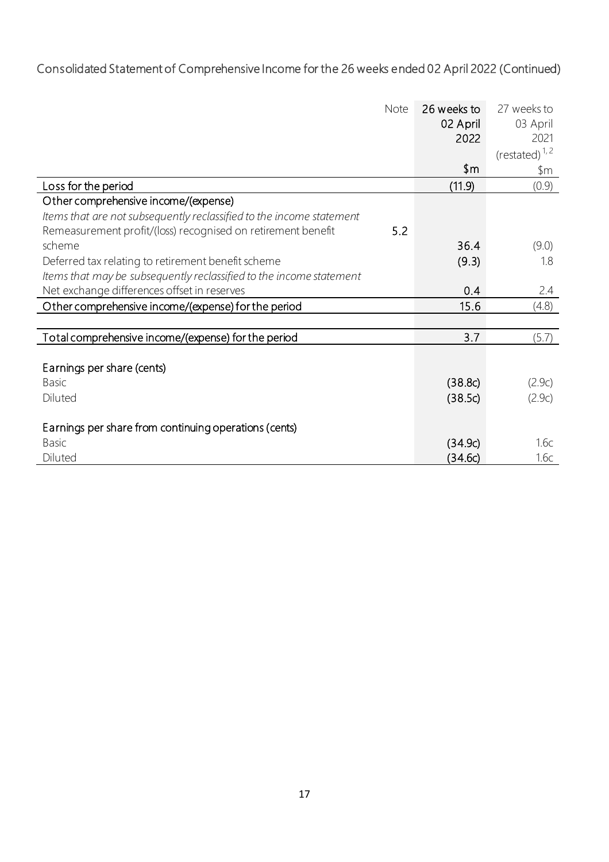# Consolidated Statement of Comprehensive Income for the 26 weeks ended 02 April 2022 (Continued)

| <b>Note</b>                                                          | 26 weeks to | 27 weeks to       |
|----------------------------------------------------------------------|-------------|-------------------|
|                                                                      | 02 April    | 03 April          |
|                                                                      | 2022        | 2021              |
|                                                                      |             | (restated) $1, 2$ |
|                                                                      | \$m         | \$m               |
| Loss for the period                                                  | (11.9)      | (0.9)             |
| Other comprehensive income/(expense)                                 |             |                   |
| Items that are not subsequently reclassified to the income statement |             |                   |
| 5.2<br>Remeasurement profit/(loss) recognised on retirement benefit  |             |                   |
| scheme                                                               | 36.4        | (9.0)             |
| Deferred tax relating to retirement benefit scheme                   | (9.3)       | 1.8               |
| Items that may be subsequently reclassified to the income statement  |             |                   |
| Net exchange differences offset in reserves                          | 0.4         | 2.4               |
| Other comprehensive income/(expense) for the period                  | 15.6        | (4.8)             |
|                                                                      |             |                   |
| Total comprehensive income/(expense) for the period                  | 3.7         | (5.7)             |
|                                                                      |             |                   |
| Earnings per share (cents)                                           |             |                   |
| <b>Basic</b>                                                         | (38.8c)     | (2.9c)            |
| Diluted                                                              | (38.5c)     | (2.9c)            |
|                                                                      |             |                   |
| Earnings per share from continuing operations (cents)                |             |                   |
| <b>Basic</b>                                                         | (34.9c)     | 1.6c              |
| Diluted                                                              | (34.6c)     | 1.6с              |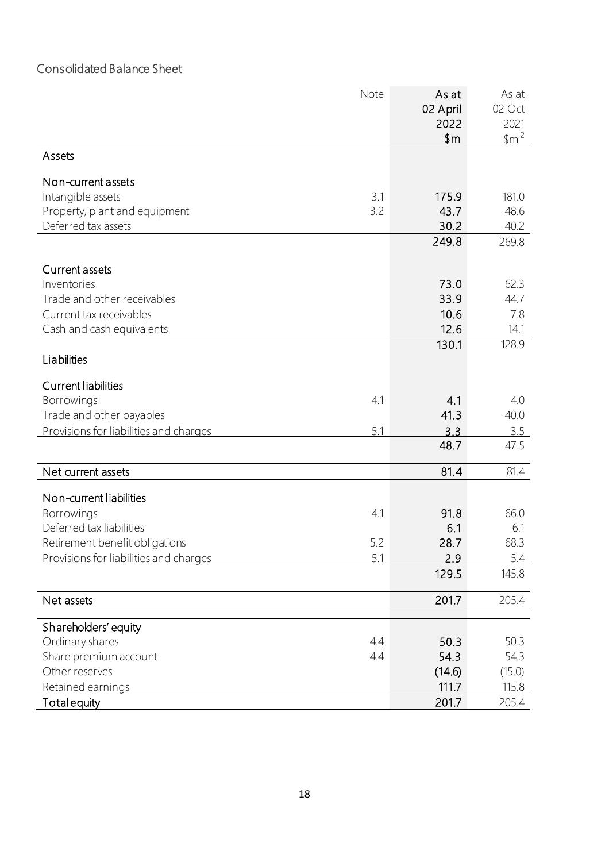# Consolidated Balance Sheet

|                                        | Note | As at<br>02 April | As at<br>02 Oct                       |
|----------------------------------------|------|-------------------|---------------------------------------|
|                                        |      | 2022<br>\$m\$     | 2021<br>$~\frac{1}{2}$ m <sup>2</sup> |
| Assets                                 |      |                   |                                       |
| Non-current assets                     |      |                   |                                       |
| Intangible assets                      | 3.1  | 175.9             | 181.0                                 |
| Property, plant and equipment          | 3.2  | 43.7              | 48.6                                  |
| Deferred tax assets                    |      | 30.2              | 40.2                                  |
|                                        |      | 249.8             | 269.8                                 |
| Current assets                         |      |                   |                                       |
| Inventories                            |      | 73.0              | 62.3                                  |
| Trade and other receivables            |      | 33.9              | 44.7                                  |
| Current tax receivables                |      | 10.6              | 7.8                                   |
| Cash and cash equivalents              |      | 12.6              | 14.1                                  |
| Liabilities                            |      | 130.1             | 128.9                                 |
| Current liabilities                    |      |                   |                                       |
| Borrowings                             | 4.1  | 4.1               | 4.0                                   |
| Trade and other payables               |      | 41.3              | 40.0                                  |
| Provisions for liabilities and charges | 5.1  | 3.3               | 3.5                                   |
|                                        |      | 48.7              | 47.5                                  |
| Net current assets                     |      | 81.4              | 81.4                                  |
| Non-current liabilities                |      |                   |                                       |
| Borrowings                             | 4.1  | 91.8              | 66.0                                  |
| Deferred tax liabilities               |      | 6.1               | 6.1                                   |
| Retirement benefit obligations         | 5.2  | 28.7              | 68.3                                  |
| Provisions for liabilities and charges | 5.1  | 2.9               | 5.4                                   |
|                                        |      | 129.5             | 145.8                                 |
| Net assets                             |      | 201.7             | 205.4                                 |
| Shareholders' equity                   |      |                   |                                       |
| Ordinary shares                        | 4.4  | 50.3              | 50.3                                  |
| Share premium account                  | 4.4  | 54.3              | 54.3                                  |
| Other reserves                         |      | (14.6)            | (15.0)                                |
| Retained earnings                      |      | 111.7             | 115.8                                 |
| <b>Total equity</b>                    |      | 201.7             | 205.4                                 |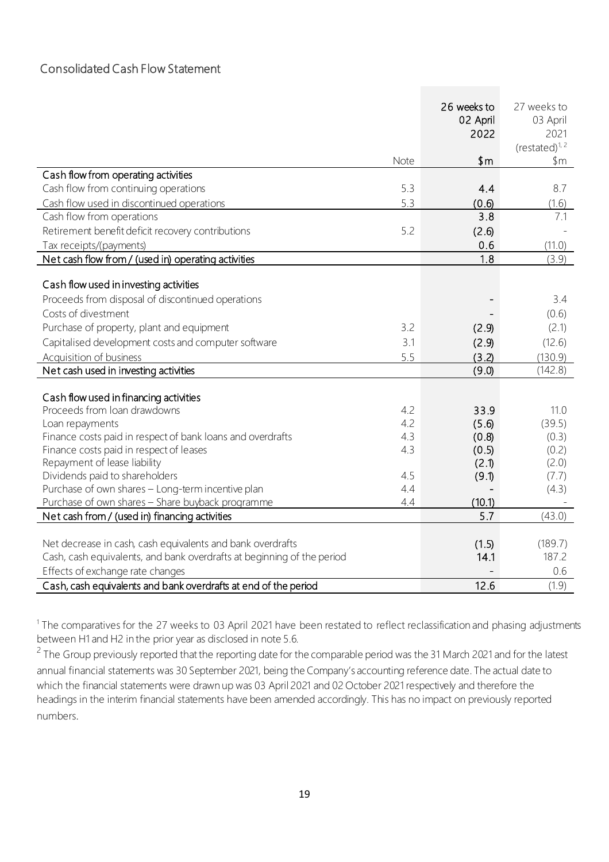#### Consolidated Cash Flow Statement

|                                                                               |            | 26 weeks to   | 27 weeks to                 |
|-------------------------------------------------------------------------------|------------|---------------|-----------------------------|
|                                                                               |            | 02 April      | 03 April                    |
|                                                                               |            | 2022          | 2021<br>$(re stated)^{1,2}$ |
|                                                                               | Note       | \$m           | \$m                         |
| Cash flow from operating activities                                           |            |               |                             |
| Cash flow from continuing operations                                          | 5.3        | 4.4           | 8.7                         |
| Cash flow used in discontinued operations                                     | 5.3        | (0.6)         | (1.6)                       |
| Cash flow from operations                                                     |            | 3.8           | 7.1                         |
| Retirement benefit deficit recovery contributions                             | 5.2        | (2.6)         |                             |
| Tax receipts/(payments)                                                       |            | 0.6           | (11.0)                      |
| Net cash flow from / (used in) operating activities                           |            | 1.8           | (3.9)                       |
|                                                                               |            |               |                             |
| Cash flow used in investing activities                                        |            |               |                             |
| Proceeds from disposal of discontinued operations                             |            |               | 3.4                         |
| Costs of divestment                                                           |            |               | (0.6)                       |
| Purchase of property, plant and equipment                                     | 3.2        | (2.9)         | (2.1)                       |
| Capitalised development costs and computer software                           | 3.1        | (2.9)         | (12.6)                      |
| Acquisition of business                                                       | 5.5        | (3.2)         | (130.9)                     |
| Net cash used in investing activities                                         |            | (9.0)         | (142.8)                     |
|                                                                               |            |               |                             |
| Cash flow used in financing activities                                        |            |               |                             |
| Proceeds from Ioan drawdowns                                                  | 4.2<br>4.2 | 33.9<br>(5.6) | 11.0                        |
| Loan repayments<br>Finance costs paid in respect of bank loans and overdrafts | 4.3        | (0.8)         | (39.5)<br>(0.3)             |
| Finance costs paid in respect of leases                                       | 4.3        | (0.5)         | (0.2)                       |
| Repayment of lease liability                                                  |            | (2.1)         | (2.0)                       |
| Dividends paid to shareholders                                                | 4.5        | (9.1)         | (7.7)                       |
| Purchase of own shares - Long-term incentive plan                             | 4.4        |               | (4.3)                       |
| Purchase of own shares - Share buyback programme                              | 4.4        | (10.1)        |                             |
| Net cash from / (used in) financing activities                                |            | 5.7           | (43.0)                      |
|                                                                               |            |               |                             |
| Net decrease in cash, cash equivalents and bank overdrafts                    |            | (1.5)         | (189.7)                     |
| Cash, cash equivalents, and bank overdrafts at beginning of the period        |            | 14.1          | 187.2                       |
| Effects of exchange rate changes                                              |            |               | 0.6                         |
| Cash, cash equivalents and bank overdrafts at end of the period               |            | 12.6          | (1.9)                       |

<sup>1</sup> The comparatives for the 27 weeks to 03 April 2021 have been restated to reflect reclassification and phasing adjustments between H1 and H2 in the prior year as disclosed in note 5.6.

<sup>2</sup> The Group previously reported that the reporting date for the comparable period was the 31 March 2021 and for the latest annual financial statements was 30 September 2021, being the Company's accounting reference date. The actual date to which the financial statements were drawn up was 03 April 2021 and 02 October 2021 respectively and therefore the headings in the interim financial statements have been amended accordingly. This has no impact on previously reported numbers.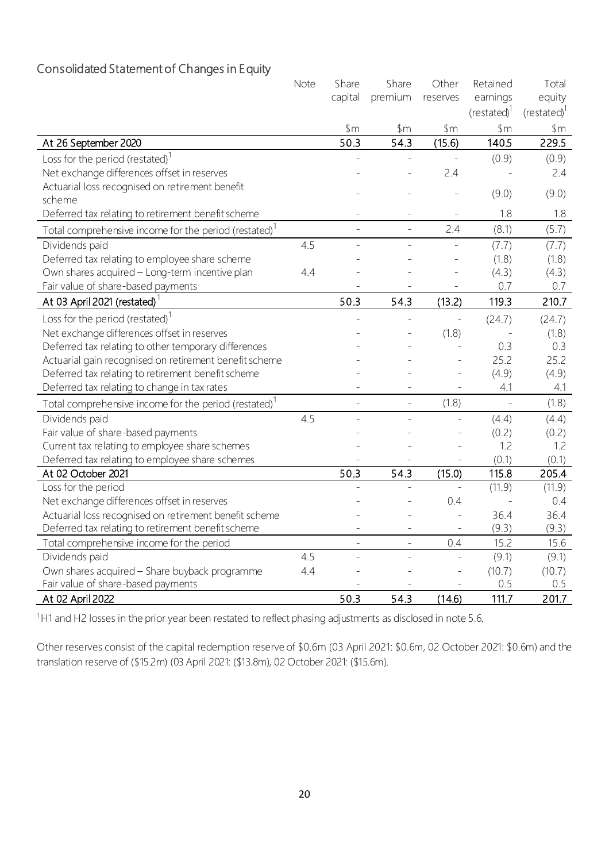# Consolidated Statement of Changes in Equity

|                                                                   | Note | Share             | Share           | Other                    | Retained                | Total            |
|-------------------------------------------------------------------|------|-------------------|-----------------|--------------------------|-------------------------|------------------|
|                                                                   |      | capital           | premium         | reserves                 | earnings                | equity           |
|                                                                   |      |                   |                 |                          | (restated) <sup>1</sup> | $(restated)^{1}$ |
|                                                                   |      | $~\$m$            | $~\mathsf{\$m}$ | $~\$m$                   | \$m\$                   | $~\mathsf{\$m}$  |
| At 26 September 2020                                              |      | $\overline{50.3}$ | 54.3            | (15.6)                   | 140.5                   | 229.5            |
| Loss for the period (restated) <sup>1</sup>                       |      |                   |                 |                          | (0.9)                   | (0.9)            |
| Net exchange differences offset in reserves                       |      |                   |                 | 2.4                      |                         | 2.4              |
| Actuarial loss recognised on retirement benefit                   |      |                   |                 |                          | (9.0)                   | (9.0)            |
| scheme                                                            |      |                   |                 |                          |                         |                  |
| Deferred tax relating to retirement benefit scheme                |      |                   |                 |                          | 1.8                     | 1.8              |
| Total comprehensive income for the period (restated) <sup>1</sup> |      | ÷                 | $\overline{a}$  | 2.4                      | (8.1)                   | (5.7)            |
| Dividends paid                                                    | 4.5  | L.                | $\overline{a}$  | $\overline{a}$           | (7.7)                   | (7.7)            |
| Deferred tax relating to employee share scheme                    |      |                   |                 |                          | (1.8)                   | (1.8)            |
| Own shares acquired - Long-term incentive plan                    | 4.4  |                   |                 |                          | (4.3)                   | (4.3)            |
| Fair value of share-based payments                                |      |                   |                 | $\blacksquare$           | 0.7                     | 0.7              |
| At 03 April 2021 (restated)                                       |      | 50.3              | 54.3            | (13.2)                   | 119.3                   | 210.7            |
| Loss for the period (restated) <sup>1</sup>                       |      |                   |                 | $\overline{a}$           | (24.7)                  | (24.7)           |
| Net exchange differences offset in reserves                       |      |                   |                 | (1.8)                    |                         | (1.8)            |
| Deferred tax relating to other temporary differences              |      |                   |                 |                          | 0.3                     | 0.3              |
| Actuarial gain recognised on retirement benefit scheme            |      |                   |                 |                          | 25.2                    | 25.2             |
| Deferred tax relating to retirement benefit scheme                |      |                   |                 |                          | (4.9)                   | (4.9)            |
| Deferred tax relating to change in tax rates                      |      |                   |                 |                          | 4.1                     | 4.1              |
| Total comprehensive income for the period (restated) <sup>1</sup> |      |                   | $\overline{a}$  | (1.8)                    | $\overline{a}$          | (1.8)            |
| Dividends paid                                                    | 4.5  |                   | $\overline{a}$  |                          | (4.4)                   | (4.4)            |
| Fair value of share-based payments                                |      |                   |                 |                          | (0.2)                   | (0.2)            |
| Current tax relating to employee share schemes                    |      |                   |                 |                          | 1.2                     | 1.2              |
| Deferred tax relating to employee share schemes                   |      |                   |                 |                          | (0.1)                   | (0.1)            |
| At 02 October 2021                                                |      | 50.3              | 54.3            | (15.0)                   | 115.8                   | 205.4            |
| Loss for the period                                               |      |                   |                 | $\overline{\phantom{a}}$ | (11.9)                  | (11.9)           |
| Net exchange differences offset in reserves                       |      |                   |                 | 0.4                      |                         | 0.4              |
| Actuarial loss recognised on retirement benefit scheme            |      |                   |                 |                          | 36.4                    | 36.4             |
| Deferred tax relating to retirement benefit scheme                |      |                   | ÷,              |                          | (9.3)                   | (9.3)            |
| Total comprehensive income for the period                         |      | $\equiv$          | $\equiv$        | 0.4                      | 15.2                    | 15.6             |
| Dividends paid                                                    | 4.5  |                   |                 |                          | (9.1)                   | (9.1)            |
| Own shares acquired - Share buyback programme                     | 4.4  |                   |                 |                          | (10.7)                  | (10.7)           |
| Fair value of share-based payments                                |      |                   |                 |                          | 0.5                     | 0.5              |
| At 02 April 2022                                                  |      | 50.3              | 54.3            | (14.6)                   | 111.7                   | 201.7            |

<sup>1</sup>H1 and H2 losses in the prior year been restated to reflect phasing adjustments as disclosed in note 5.6.

Other reserves consist of the capital redemption reserve of \$0.6m (03 April 2021: \$0.6m, 02 October 2021: \$0.6m) and the translation reserve of (\$15.2m) (03 April 2021: (\$13.8m), 02 October 2021: (\$15.6m).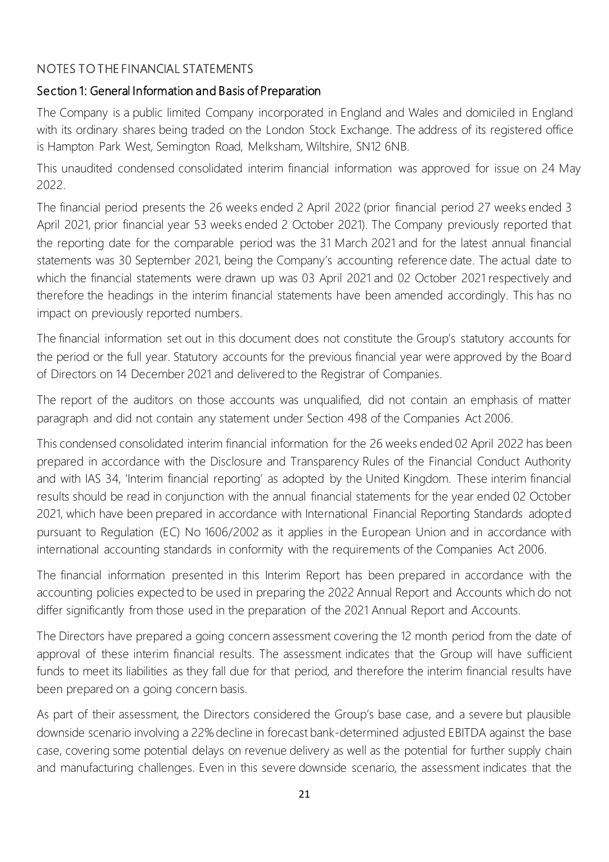# NOTES TO THE FINANCIAL STATEMENTS

### Section 1: General Information and Basis of Preparation

The Company is a public limited Company incorporated in England and Wales and domiciled in England with its ordinary shares being traded on the London Stock Exchange. The address of its registered office is Hampton Park West, Semington Road, Melksham, Wiltshire, SN12 6NB.

This unaudited condensed consolidated interim financial information was approved for issue on 24 May 2022.

The financial period presents the 26 weeks ended 2 April 2022 (prior financial period 27 weeks ended 3 April 2021, prior financial year 53 weeks ended 2 October 2021). The Company previously reported that the reporting date for the comparable period was the 31 March 2021 and for the latest annual financial statements was 30 September 2021, being the Company's accounting reference date. The actual date to which the financial statements were drawn up was 03 April 2021 and 02 October 2021 respectively and therefore the headings in the interim financial statements have been amended accordingly. This has no impact on previously reported numbers.

The financial information set out in this document does not constitute the Group's statutory accounts for the period or the full year. Statutory accounts for the previous financial year were approved by the Board of Directors on 14 December 2021 and delivered to the Registrar of Companies.

The report of the auditors on those accounts was unqualified, did not contain an emphasis of matter paragraph and did not contain any statement under Section 498 of the Companies Act 2006.

This condensed consolidated interim financial information for the 26 weeks ended 02 April 2022 has been prepared in accordance with the Disclosure and Transparency Rules of the Financial Conduct Authority and with IAS 34, 'Interim financial reporting' as adopted by the United Kingdom. These interim financial results should be read in conjunction with the annual financial statements for the year ended 02 October 2021, which have been prepared in accordance with International Financial Reporting Standards adopted pursuant to Regulation (EC) No 1606/2002 as it applies in the European Union and in accordance with international accounting standards in conformity with the requirements of the Companies Act 2006.

The financial information presented in this Interim Report has been prepared in accordance with the accounting policies expected to be used in preparing the 2022 Annual Report and Accounts which do not differ significantly from those used in the preparation of the 2021 Annual Report and Accounts.

The Directors have prepared a going concern assessment covering the 12 month period from the date of approval of these interim financial results. The assessment indicates that the Group will have sufficient funds to meet its liabilities as they fall due for that period, and therefore the interim financial results have been prepared on a going concern basis.

As part of their assessment, the Directors considered the Group's base case, and a severe but plausible downside scenario involving a 22% decline in forecast bank-determined adjusted EBITDA against the base case, covering some potential delays on revenue delivery as well as the potential for further supply chain and manufacturing challenges. Even in this severe downside scenario, the assessment indicates that the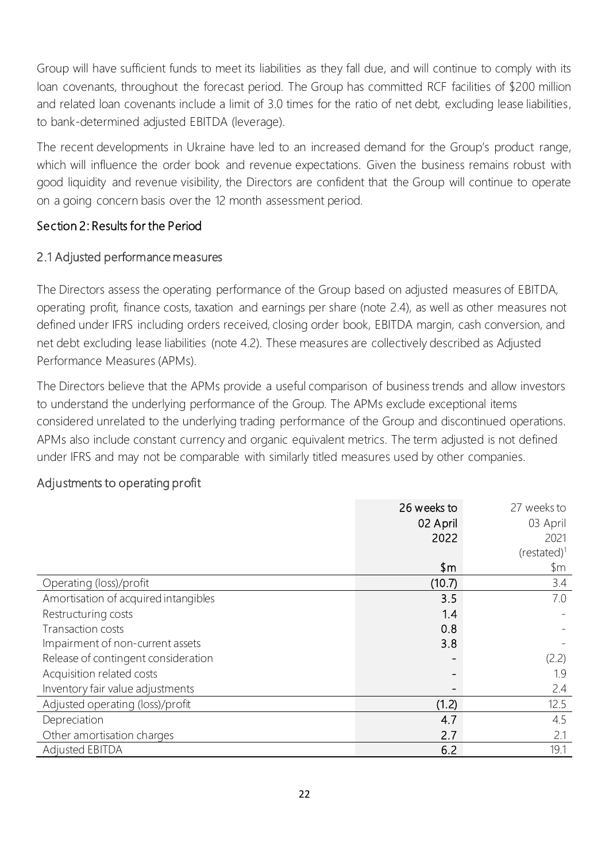Group will have sufficient funds to meet its liabilities as they fall due, and will continue to comply with its loan covenants, throughout the forecast period. The Group has committed RCF facilities of \$200 million and related loan covenants include a limit of 3.0 times for the ratio of net debt, excluding lease liabilities, to bank-determined adjusted EBITDA (leverage).

The recent developments in Ukraine have led to an increased demand for the Group's product range, which will influence the order book and revenue expectations. Given the business remains robust with good liquidity and revenue visibility, the Directors are confident that the Group will continue to operate on a going concern basis over the 12 month assessment period.

#### Section 2: Results for the Period

#### 2.1 Adjusted performance measures

The Directors assess the operating performance of the Group based on adjusted measures of EBITDA, operating profit, finance costs, taxation and earnings per share (note 2.4), as well as other measures not defined under IFRS including orders received, closing order book, EBITDA margin, cash conversion, and net debt excluding lease liabilities (note 4.2). These measures are collectively described as Adjusted Performance Measures (APMs).

The Directors believe that the APMs provide a useful comparison of business trends and allow investors to understand the underlying performance of the Group. The APMs exclude exceptional items considered unrelated to the underlying trading performance of the Group and discontinued operations. APMs also include constant currency and organic equivalent metrics. The term adjusted is not defined under IFRS and may not be comparable with similarly titled measures used by other companies.

# Adjustments to operating profit

|                                      | 26 weeks to | 27 weeks to     |
|--------------------------------------|-------------|-----------------|
|                                      | 02 April    | 03 April        |
|                                      | 2022        | 2021            |
|                                      |             | $(re stated)^1$ |
|                                      | \$m         | \$m             |
| Operating (loss)/profit              | (10.7)      | 3.4             |
| Amortisation of acquired intangibles | 3.5         | 7.0             |
| Restructuring costs                  | 1.4         |                 |
| Transaction costs                    | 0.8         |                 |
| Impairment of non-current assets     | 3.8         |                 |
| Release of contingent consideration  |             | (2.2)           |
| Acquisition related costs            |             | 1.9             |
| Inventory fair value adjustments     |             | 2.4             |
| Adjusted operating (loss)/profit     | (1.2)       | 12.5            |
| Depreciation                         | 4.7         | 4.5             |
| Other amortisation charges           | 2.7         | 2.1             |
| <b>Adjusted EBITDA</b>               | 6.2         | 19.1            |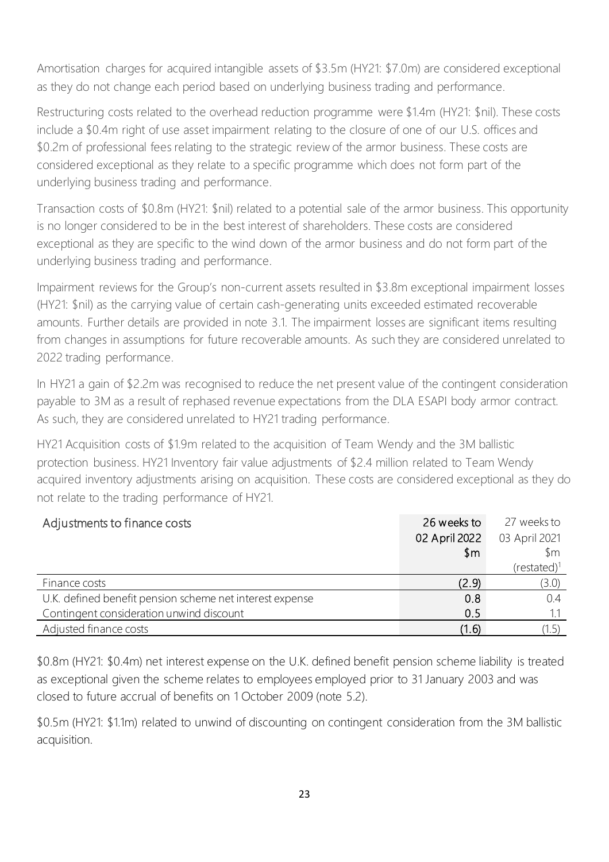Amortisation charges for acquired intangible assets of \$3.5m (HY21: \$7.0m) are considered exceptional as they do not change each period based on underlying business trading and performance.

Restructuring costs related to the overhead reduction programme were \$1.4m (HY21: \$nil). These costs include a \$0.4m right of use asset impairment relating to the closure of one of our U.S. offices and \$0.2m of professional fees relating to the strategic review of the armor business. These costs are considered exceptional as they relate to a specific programme which does not form part of the underlying business trading and performance.

Transaction costs of \$0.8m (HY21: \$nil) related to a potential sale of the armor business. This opportunity is no longer considered to be in the best interest of shareholders. These costs are considered exceptional as they are specific to the wind down of the armor business and do not form part of the underlying business trading and performance.

Impairment reviews for the Group's non-current assets resulted in \$3.8m exceptional impairment losses (HY21: \$nil) as the carrying value of certain cash-generating units exceeded estimated recoverable amounts. Further details are provided in note 3.1. The impairment losses are significant items resulting from changes in assumptions for future recoverable amounts. As such they are considered unrelated to 2022 trading performance.

In HY21 a gain of \$2.2m was recognised to reduce the net present value of the contingent consideration payable to 3M as a result of rephased revenue expectations from the DLA ESAPI body armor contract. As such, they are considered unrelated to HY21 trading performance.

HY21 Acquisition costs of \$1.9m related to the acquisition of Team Wendy and the 3M ballistic protection business. HY21 Inventory fair value adjustments of \$2.4 million related to Team Wendy acquired inventory adjustments arising on acquisition. These costs are considered exceptional as they do not relate to the trading performance of HY21.

| Adjustments to finance costs                             | 26 weeks to    | 27 weeks to     |
|----------------------------------------------------------|----------------|-----------------|
|                                                          | 02 April 2022  | 03 April 2021   |
|                                                          | $\mathsf{S}$ m | $\mathsf{S}$ m  |
|                                                          |                | $(re stated)^1$ |
| Finance costs                                            | (2.9)          | (3.0)           |
| U.K. defined benefit pension scheme net interest expense | 0.8            | 0.4             |
| Contingent consideration unwind discount                 | 0.5            |                 |
| Adjusted finance costs                                   | (1.6)          |                 |

\$0.8m (HY21: \$0.4m) net interest expense on the U.K. defined benefit pension scheme liability is treated as exceptional given the scheme relates to employees employed prior to 31 January 2003 and was closed to future accrual of benefits on 1 October 2009 (note 5.2).

\$0.5m (HY21: \$1.1m) related to unwind of discounting on contingent consideration from the 3M ballistic acquisition.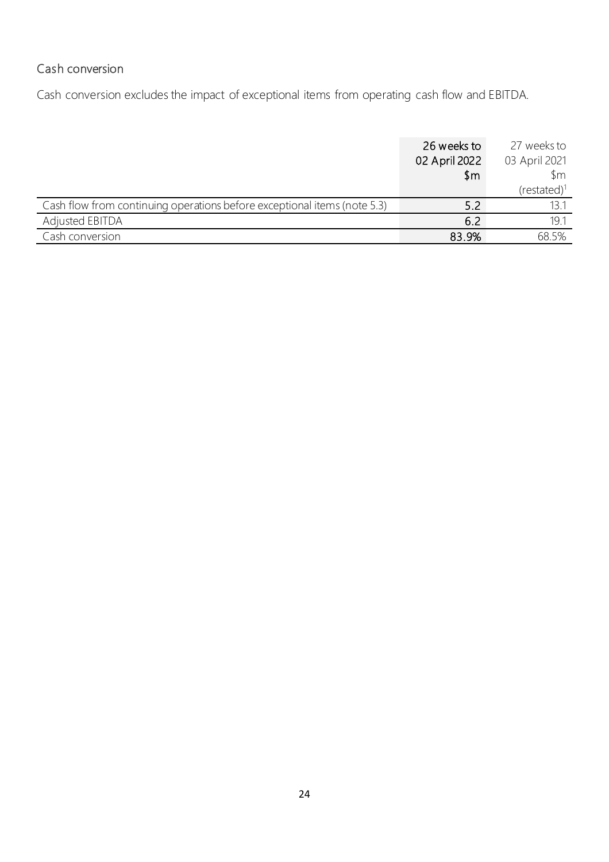# Cash conversion

Cash conversion excludes the impact of exceptional items from operating cash flow and EBITDA.

|                                                                          | 26 weeks to<br>02 April 2022 | 27 weeks to<br>03 April 2021 |
|--------------------------------------------------------------------------|------------------------------|------------------------------|
|                                                                          | $\mathsf{m}$                 | $\mathsf{S}$ m               |
|                                                                          |                              | $(restated)^1$               |
| Cash flow from continuing operations before exceptional items (note 5.3) | 5.2                          | 13.1                         |
| <b>Adjusted EBITDA</b>                                                   | 6.2                          | 191                          |
| Cash conversion                                                          | 83.9%                        | 68.5%                        |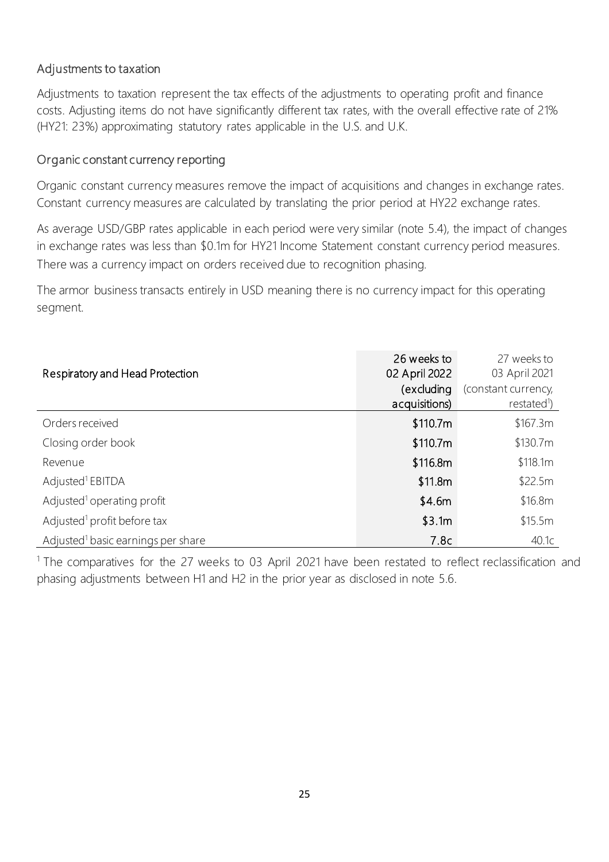### Adjustments to taxation

Adjustments to taxation represent the tax effects of the adjustments to operating profit and finance costs. Adjusting items do not have significantly different tax rates, with the overall effective rate of 21% (HY21: 23%) approximating statutory rates applicable in the U.S. and U.K.

#### Organic constant currency reporting

Organic constant currency measures remove the impact of acquisitions and changes in exchange rates. Constant currency measures are calculated by translating the prior period at HY22 exchange rates.

As average USD/GBP rates applicable in each period were very similar (note 5.4), the impact of changes in exchange rates was less than \$0.1m for HY21 Income Statement constant currency period measures. There was a currency impact on orders received due to recognition phasing.

The armor business transacts entirely in USD meaning there is no currency impact for this operating segment.

| Respiratory and Head Protection                | 26 weeks to<br>02 April 2022<br>(excluding<br>acquisitions) | 27 weeks to<br>03 April 2021<br>(constant currency,<br>restated <sup>1</sup> ) |
|------------------------------------------------|-------------------------------------------------------------|--------------------------------------------------------------------------------|
| Orders received                                | \$110.7m                                                    | \$167.3m                                                                       |
| Closing order book                             | \$110.7m                                                    | \$130.7m                                                                       |
| Revenue                                        | \$116.8m                                                    | \$118.1m                                                                       |
| Adjusted <sup>1</sup> EBITDA                   | \$11.8m                                                     | \$22.5m                                                                        |
| Adjusted <sup>1</sup> operating profit         | \$4.6m\$                                                    | \$16.8m                                                                        |
| Adjusted <sup>1</sup> profit before tax        | \$3.1m                                                      | \$15.5m                                                                        |
| Adjusted <sup>1</sup> basic earnings per share | 7.8c                                                        | 40.1c                                                                          |

<sup>1</sup> The comparatives for the 27 weeks to 03 April 2021 have been restated to reflect reclassification and phasing adjustments between H1 and H2 in the prior year as disclosed in note 5.6.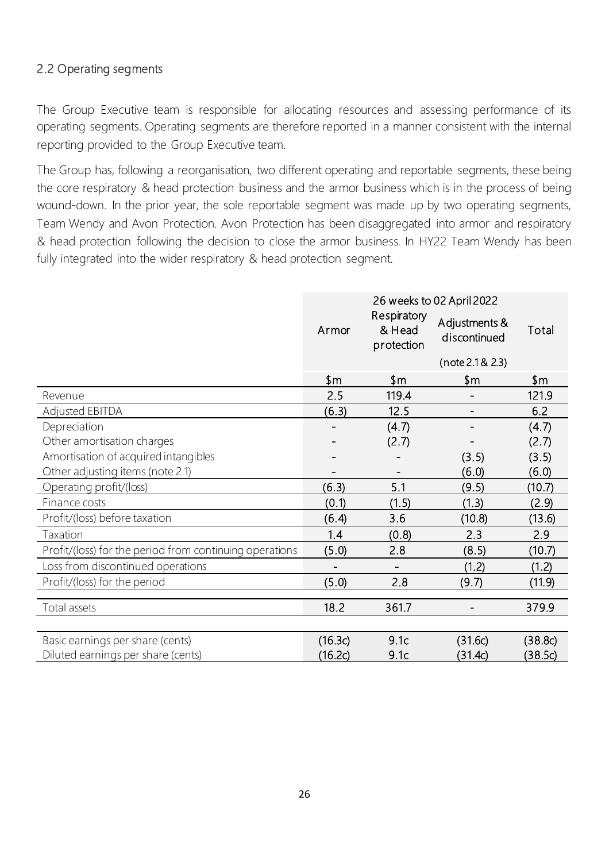# 2.2 Operating segments

The Group Executive team is responsible for allocating resources and assessing performance of its operating segments. Operating segments are therefore reported in a manner consistent with the internal reporting provided to the Group Executive team.

The Group has, following a reorganisation, two different operating and reportable segments, these being the core respiratory & head protection business and the armor business which is in the process of being wound-down. In the prior year, the sole reportable segment was made up by two operating segments, Team Wendy and Avon Protection. Avon Protection has been disaggregated into armor and respiratory & head protection following the decision to close the armor business. In HY22 Team Wendy has been fully integrated into the wider respiratory & head protection segment.

|                                                         | 26 weeks to 02 April 2022 |                                     |                               |         |
|---------------------------------------------------------|---------------------------|-------------------------------------|-------------------------------|---------|
|                                                         | Armor                     | Respiratory<br>& Head<br>protection | Adjustments &<br>discontinued | Total   |
|                                                         |                           |                                     | (note 2.1 & 2.3)              |         |
|                                                         | \$m                       | \$m                                 | \$m                           | \$m     |
| Revenue                                                 | 2.5                       | 119.4                               |                               | 121.9   |
| <b>Adjusted EBITDA</b>                                  | (6.3)                     | 12.5                                |                               | 6.2     |
| Depreciation                                            |                           | (4.7)                               |                               | (4.7)   |
| Other amortisation charges                              |                           | (2.7)                               |                               | (2.7)   |
| Amortisation of acquired intangibles                    |                           |                                     | (3.5)                         | (3.5)   |
| Other adjusting items (note 2.1)                        |                           |                                     | (6.0)                         | (6.0)   |
| Operating profit/(loss)                                 | (6.3)                     | 5.1                                 | (9.5)                         | (10.7)  |
| Finance costs                                           | (0.1)                     | (1.5)                               | (1.3)                         | (2.9)   |
| Profit/(loss) before taxation                           | (6.4)                     | 3.6                                 | (10.8)                        | (13.6)  |
| Taxation                                                | 1.4                       | (0.8)                               | 2.3                           | 2.9     |
| Profit/(loss) for the period from continuing operations | (5.0)                     | 2.8                                 | (8.5)                         | (10.7)  |
| Loss from discontinued operations                       | $\overline{\phantom{0}}$  | $\overline{\phantom{a}}$            | (1.2)                         | (1.2)   |
| Profit/(loss) for the period                            | (5.0)                     | 2.8                                 | (9.7)                         | (11.9)  |
|                                                         |                           |                                     |                               |         |
| Total assets                                            | 18.2                      | 361.7                               |                               | 379.9   |
|                                                         |                           |                                     |                               |         |
| Basic earnings per share (cents)                        | (16.3c)                   | 9.1c                                | (31.6c)                       | (38.8c) |
| Diluted earnings per share (cents)                      | (16.2c)                   | 9.1c                                | (31.4c)                       | (38.5c) |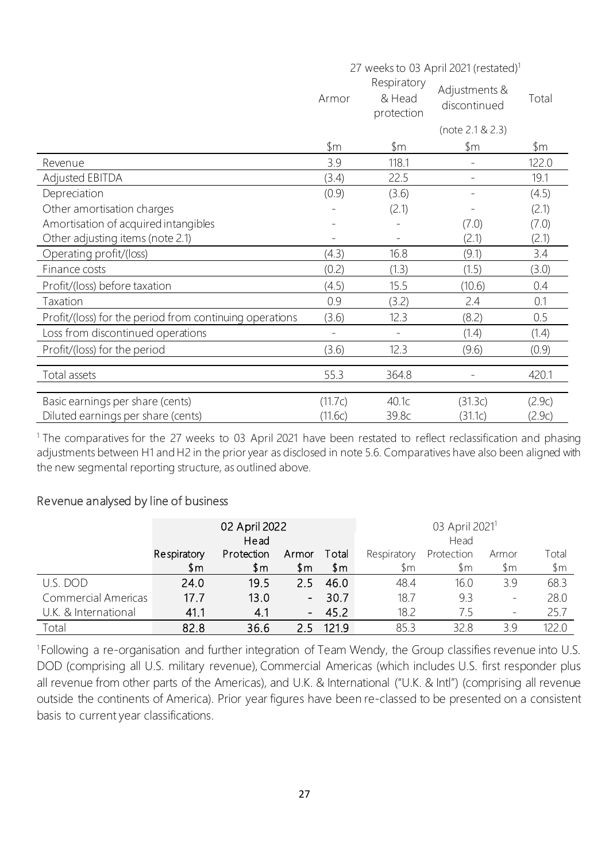|                                                         | 27 weeks to 03 April 2021 (restated) <sup>1</sup> |                                     |                               |        |
|---------------------------------------------------------|---------------------------------------------------|-------------------------------------|-------------------------------|--------|
|                                                         | Armor                                             | Respiratory<br>& Head<br>protection | Adjustments &<br>discontinued | Total  |
|                                                         |                                                   |                                     | (note 2.1 & 2.3)              |        |
|                                                         | $~\mathsf{\$m}$                                   | $\mathfrak{m}$                      | \$m                           | \$m    |
| Revenue                                                 | 3.9                                               | 118.1                               |                               | 122.0  |
| <b>Adjusted EBITDA</b>                                  | (3.4)                                             | 22.5                                |                               | 19.1   |
| Depreciation                                            | (0.9)                                             | (3.6)                               |                               | (4.5)  |
| Other amortisation charges                              |                                                   | (2.1)                               |                               | (2.1)  |
| Amortisation of acquired intangibles                    |                                                   |                                     | (7.0)                         | (7.0)  |
| Other adjusting items (note 2.1)                        |                                                   |                                     | (2.1)                         | (2.1)  |
| Operating profit/(loss)                                 | (4.3)                                             | 16.8                                | (9.1)                         | 3.4    |
| Finance costs                                           | (0.2)                                             | (1.3)                               | (1.5)                         | (3.0)  |
| Profit/(loss) before taxation                           | (4.5)                                             | 15.5                                | (10.6)                        | 0.4    |
| Taxation                                                | 0.9                                               | (3.2)                               | 2.4                           | 0.1    |
| Profit/(loss) for the period from continuing operations | (3.6)                                             | 12.3                                | (8.2)                         | 0.5    |
| Loss from discontinued operations                       | $\qquad \qquad -$                                 |                                     | (1.4)                         | (1.4)  |
| Profit/(loss) for the period                            | (3.6)                                             | 12.3                                | (9.6)                         | (0.9)  |
| Total assets                                            | 55.3                                              | 364.8                               |                               | 420.1  |
| Basic earnings per share (cents)                        | (11.7c)                                           | 40.1c                               | (31.3c)                       | (2.9c) |
| Diluted earnings per share (cents)                      | (11.6c)                                           | 39.8c                               | (31.1c)                       | (2.9c) |

<sup>1</sup> The comparatives for the 27 weeks to 03 April 2021 have been restated to reflect reclassification and phasing adjustments between H1 and H2 in the prior year as disclosed in note 5.6. Comparatives have also been aligned with the new segmental reporting structure, as outlined above.

#### Revenue analysed by line of business

|                            | 02 April 2022<br>Head |              |        |       | 03 April 2021 <sup>1</sup><br>Head |            |                          |                 |
|----------------------------|-----------------------|--------------|--------|-------|------------------------------------|------------|--------------------------|-----------------|
|                            | Respiratory           | Protection   | Armor  | Total | Respiratory                        | Protection | Armor                    | Total           |
|                            | \$m                   | $\mathsf{m}$ | \$m    | \$m   | $\mathfrak{m}$                     | \$m        | \$m                      | $~\mathsf{\$m}$ |
| U.S. DOD                   | 24.0                  | 19.5         | 25.    | 46.0  | 48.4                               | 16.0       | 3.9                      | 68.3            |
| <b>Commercial Americas</b> | 17.7                  | 13.0         | $\sim$ | 30.7  | 18.7                               | 9.3        | $\qquad \qquad -$        | 28.0            |
| U.K. & International       | 41.1                  | 4.1          |        | 45.2  | 18.2                               | 75         | $\overline{\phantom{m}}$ | 25.7            |
| Total                      | 82.8                  | 36.6         |        | 121.9 | 85.3                               | 328        | 39                       | 220             |

<sup>1</sup> Following a re-organisation and further integration of Team Wendy, the Group classifies revenue into U.S. DOD (comprising all U.S. military revenue), Commercial Americas (which includes U.S. first responder plus all revenue from other parts of the Americas), and U.K. & International ("U.K. & Intl") (comprising all revenue outside the continents of America). Prior year figures have been re-classed to be presented on a consistent basis to current year classifications.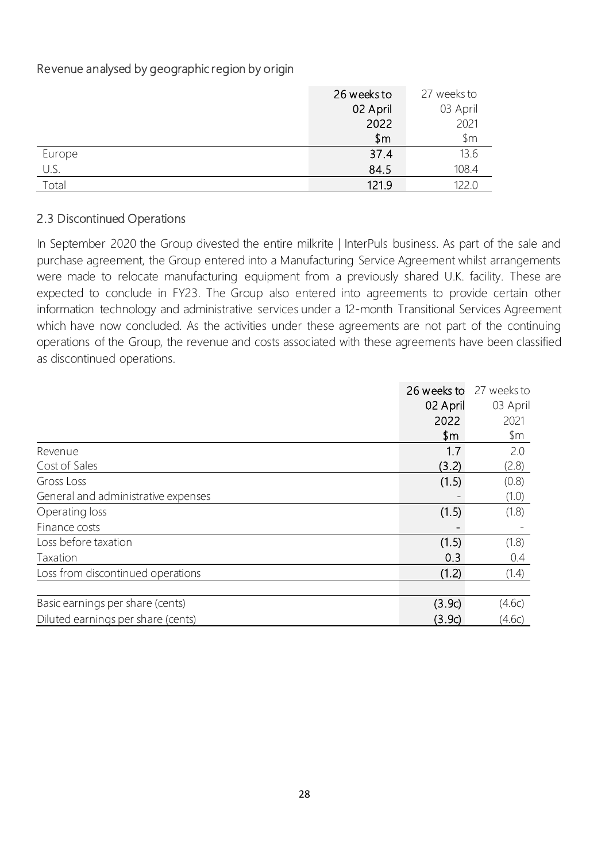# Revenue analysed by geographic region by origin

|        | 26 weeks to | 27 weeks to    |
|--------|-------------|----------------|
|        | 02 April    | 03 April       |
|        | 2022        | 2021           |
|        | \$m         | $\mathsf{\$m}$ |
| Europe | 37.4        | 13.6           |
| U.S.   | 84.5        | 108.4          |
| Total  | 121.9       | 122.0          |

#### 2.3 Discontinued Operations

In September 2020 the Group divested the entire milkrite | InterPuls business. As part of the sale and purchase agreement, the Group entered into a Manufacturing Service Agreement whilst arrangements were made to relocate manufacturing equipment from a previously shared U.K. facility. These are expected to conclude in FY23. The Group also entered into agreements to provide certain other information technology and administrative services under a 12-month Transitional Services Agreement which have now concluded. As the activities under these agreements are not part of the continuing operations of the Group, the revenue and costs associated with these agreements have been classified as discontinued operations.

|                                     | 26 weeks to | 27 weeks to |
|-------------------------------------|-------------|-------------|
|                                     | 02 April    | 03 April    |
|                                     | 2022        | 2021        |
|                                     | \$m         | \$m         |
| Revenue                             | 1.7         | 2.0         |
| Cost of Sales                       | (3.2)       | (2.8)       |
| Gross Loss                          | (1.5)       | (0.8)       |
| General and administrative expenses |             | (1.0)       |
| Operating loss                      | (1.5)       | (1.8)       |
| Finance costs                       |             |             |
| Loss before taxation                | (1.5)       | (1.8)       |
| Taxation                            | 0.3         | 0.4         |
| Loss from discontinued operations   | (1.2)       | (1.4)       |
|                                     |             |             |
| Basic earnings per share (cents)    | (3.9c)      | (4.6c)      |
| Diluted earnings per share (cents)  | (3.9c)      | (4.6c)      |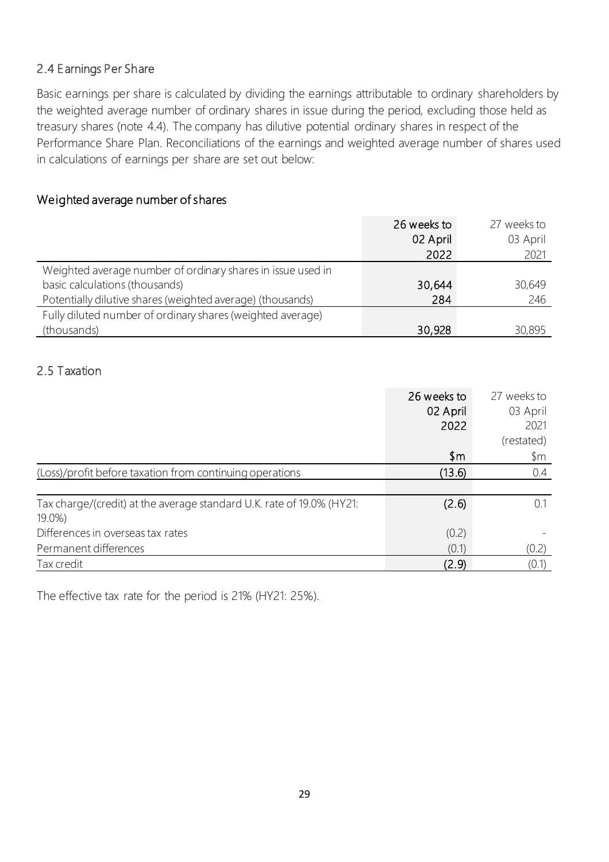### 2.4 Earnings Per Share

Basic earnings per share is calculated by dividing the earnings attributable to ordinary shareholders by the weighted average number of ordinary shares in issue during the period, excluding those held as treasury shares (note 4.4). The company has dilutive potential ordinary shares in respect of the Performance Share Plan. Reconciliations of the earnings and weighted average number of shares used in calculations of earnings per share are set out below:

# Weighted average number of shares

|                                                             | 26 weeks to | 27 weeks to |
|-------------------------------------------------------------|-------------|-------------|
|                                                             | 02 April    | 03 April    |
|                                                             | 2022        | 2021        |
| Weighted average number of ordinary shares in issue used in |             |             |
| basic calculations (thousands)                              | 30,644      | 30,649      |
| Potentially dilutive shares (weighted average) (thousands)  | 284         | 246         |
| Fully diluted number of ordinary shares (weighted average)  |             |             |
| (thousands)                                                 | 30,928      | 30,895      |

#### 2.5 Taxation

|                                                                       | 26 weeks to    | 27 weeks to    |
|-----------------------------------------------------------------------|----------------|----------------|
|                                                                       | 02 April       | 03 April       |
|                                                                       | 2022           | 2021           |
|                                                                       |                | (restated)     |
|                                                                       | $\mathsf{\$m}$ | $\mathsf{\$m}$ |
| (Loss)/profit before taxation from continuing operations              | (13.6)         | 0.4            |
|                                                                       |                |                |
| Tax charge/(credit) at the average standard U.K. rate of 19.0% (HY21: | (2.6)          |                |
| $19.0\%$                                                              |                |                |
| Differences in overseas tax rates                                     | (0.2)          |                |
| Permanent differences                                                 | (0.1)          | (0.2)          |
| Tax credit                                                            | (2.9)          | (0.1)          |

The effective tax rate for the period is 21% (HY21: 25%).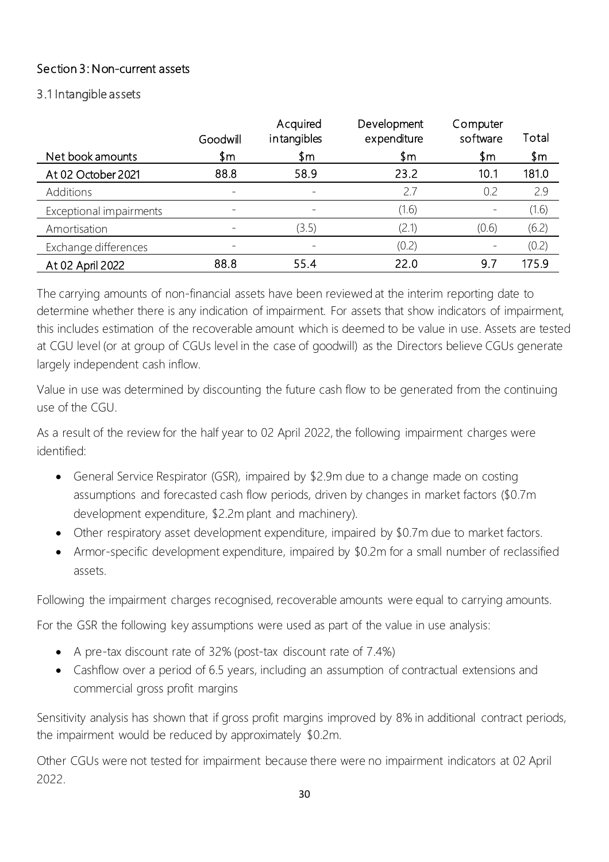# Section 3: Non-current assets

#### 3.1 Intangible assets

|                         | Goodwill | Acquired<br>intangibles  | Development<br>expenditure | Computer<br>software | Total |
|-------------------------|----------|--------------------------|----------------------------|----------------------|-------|
| Net book amounts        | \$m\$    | \$m                      | \$m                        | \$m                  | \$m   |
| At 02 October 2021      | 88.8     | 58.9                     | 23.2                       | 10.1                 | 181.0 |
| Additions               |          | $\overline{\phantom{0}}$ | 2.7                        | 0.2                  | 2.9   |
| Exceptional impairments |          | $\overline{\phantom{0}}$ | (1.6)                      |                      | (1.6) |
| Amortisation            |          | (3.5)                    | (2.1)                      | (0.6)                | (6.2) |
| Exchange differences    |          |                          | (0.2)                      |                      | (0.2) |
| At 02 April 2022        | 88.8     | 55.4                     | 22.0                       | 9.7                  | 175.9 |

The carrying amounts of non-financial assets have been reviewed at the interim reporting date to determine whether there is any indication of impairment. For assets that show indicators of impairment, this includes estimation of the recoverable amount which is deemed to be value in use. Assets are tested at CGU level (or at group of CGUs level in the case of goodwill) as the Directors believe CGUs generate largely independent cash inflow.

Value in use was determined by discounting the future cash flow to be generated from the continuing use of the CGU.

As a result of the review for the half year to 02 April 2022, the following impairment charges were identified:

- General Service Respirator (GSR), impaired by \$2.9m due to a change made on costing assumptions and forecasted cash flow periods, driven by changes in market factors (\$0.7m development expenditure, \$2.2m plant and machinery).
- Other respiratory asset development expenditure, impaired by \$0.7m due to market factors.
- Armor-specific development expenditure, impaired by \$0.2m for a small number of reclassified assets.

Following the impairment charges recognised, recoverable amounts were equal to carrying amounts.

For the GSR the following key assumptions were used as part of the value in use analysis:

- A pre-tax discount rate of 32% (post-tax discount rate of 7.4%)
- Cashflow over a period of 6.5 years, including an assumption of contractual extensions and commercial gross profit margins

Sensitivity analysis has shown that if gross profit margins improved by 8% in additional contract periods, the impairment would be reduced by approximately \$0.2m.

Other CGUs were not tested for impairment because there were no impairment indicators at 02 April 2022.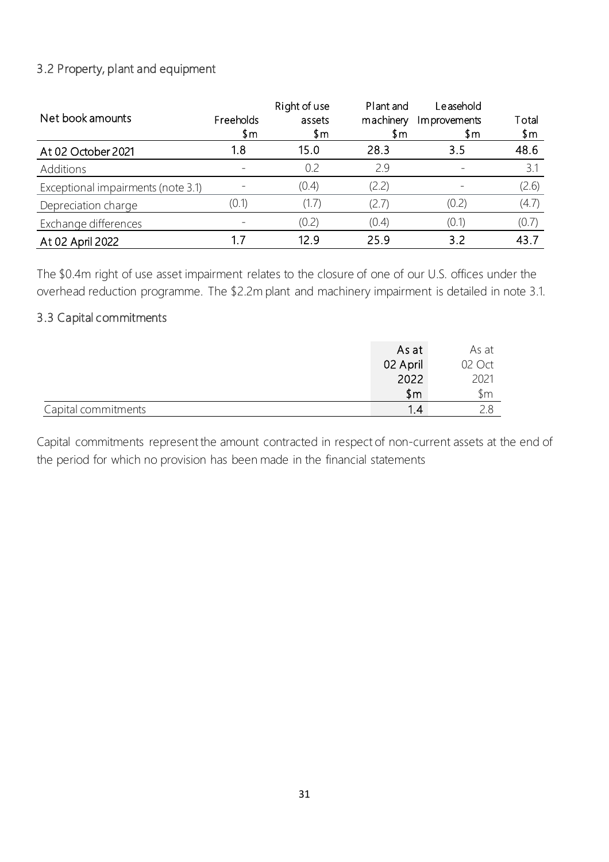# 3.2 Property, plant and equipment

| Net book amounts                   | Freeholds<br>\$m | Right of use<br>assets<br>\$m | Plant and<br>machinery<br>\$m | Leasehold<br>Improvements<br>\$m | Total<br>\$m |
|------------------------------------|------------------|-------------------------------|-------------------------------|----------------------------------|--------------|
| At 02 October 2021                 | 1.8              | 15.0                          | 28.3                          | 3.5                              | 48.6         |
| Additions                          |                  | 0.2                           | 29                            |                                  | 3.1          |
| Exceptional impairments (note 3.1) |                  | (0.4)                         | (2.2)                         |                                  | (2.6)        |
| Depreciation charge                | (0.1)            | (1.7)                         | (2.7)                         | (0.2)                            | (4.7)        |
| Exchange differences               |                  | (0.2)                         | (0.4)                         | (0.1)                            | (0.7)        |
| At 02 April 2022                   |                  | 12.9                          | 25.9                          | 3.2                              | 43.7         |

The \$0.4m right of use asset impairment relates to the closure of one of our U.S. offices under the overhead reduction programme. The \$2.2m plant and machinery impairment is detailed in note 3.1.

# 3.3 Capital commitments

|                     | As at        | As at  |
|---------------------|--------------|--------|
|                     | 02 April     | 02 Oct |
|                     | 2022         | 2021   |
|                     | $\mathsf{m}$ | \$m    |
| Capital commitments | 12           |        |

Capital commitments represent the amount contracted in respect of non-current assets at the end of the period for which no provision has been made in the financial statements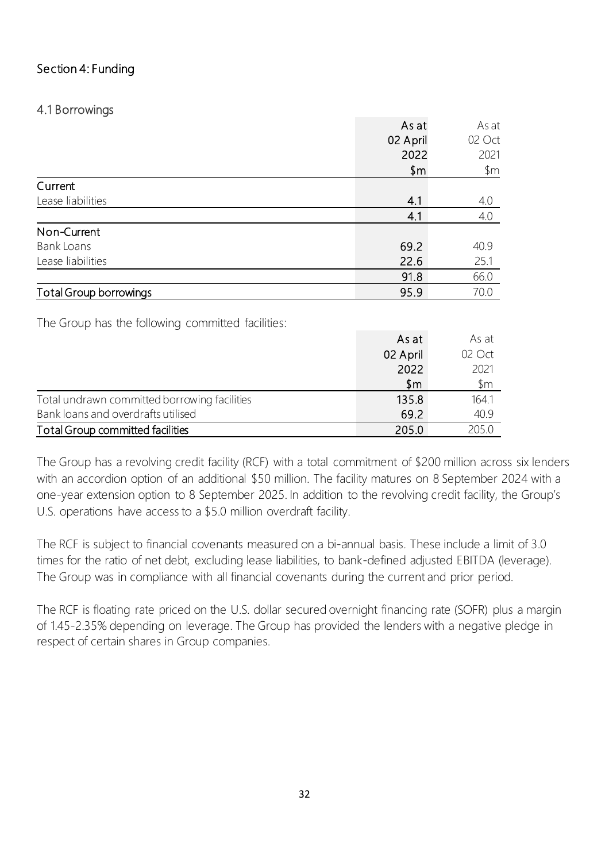# Section 4: Funding

# 4.1 Borrowings

|                                                   | As at    | As at          |
|---------------------------------------------------|----------|----------------|
|                                                   | 02 April | 02 Oct         |
|                                                   | 2022     | 2021           |
|                                                   | \$m      | $\mathsf{S}$ m |
| Current                                           |          |                |
| Lease liabilities                                 | 4.1      | 4.0            |
|                                                   | 4.1      | 4.0            |
| Non-Current                                       |          |                |
| <b>Bank Loans</b>                                 | 69.2     | 40.9           |
| Lease liabilities                                 | 22.6     | 25.1           |
|                                                   | 91.8     | 66.0           |
| <b>Total Group borrowings</b>                     | 95.9     | 70.0           |
|                                                   |          |                |
| The Group has the following committed facilities: |          |                |
|                                                   | As at    | As at          |
|                                                   | 02 April | 02 Oct         |
|                                                   | 2022     | 2021           |
|                                                   | \$m      | $\mathfrak{m}$ |
| Total undrawn committed borrowing facilities      | 135.8    | 164.1          |
| Bank loans and overdrafts utilised                | 69.2     | 40.9           |
| <b>Total Group committed facilities</b>           | 205.0    | 205.0          |

The Group has a revolving credit facility (RCF) with a total commitment of \$200 million across six lenders with an accordion option of an additional \$50 million. The facility matures on 8 September 2024 with a one-year extension option to 8 September 2025. In addition to the revolving credit facility, the Group's U.S. operations have access to a \$5.0 million overdraft facility.

The RCF is subject to financial covenants measured on a bi-annual basis. These include a limit of 3.0 times for the ratio of net debt, excluding lease liabilities, to bank-defined adjusted EBITDA (leverage). The Group was in compliance with all financial covenants during the current and prior period.

The RCF is floating rate priced on the U.S. dollar secured overnight financing rate (SOFR) plus a margin of 1.45-2.35% depending on leverage. The Group has provided the lenders with a negative pledge in respect of certain shares in Group companies.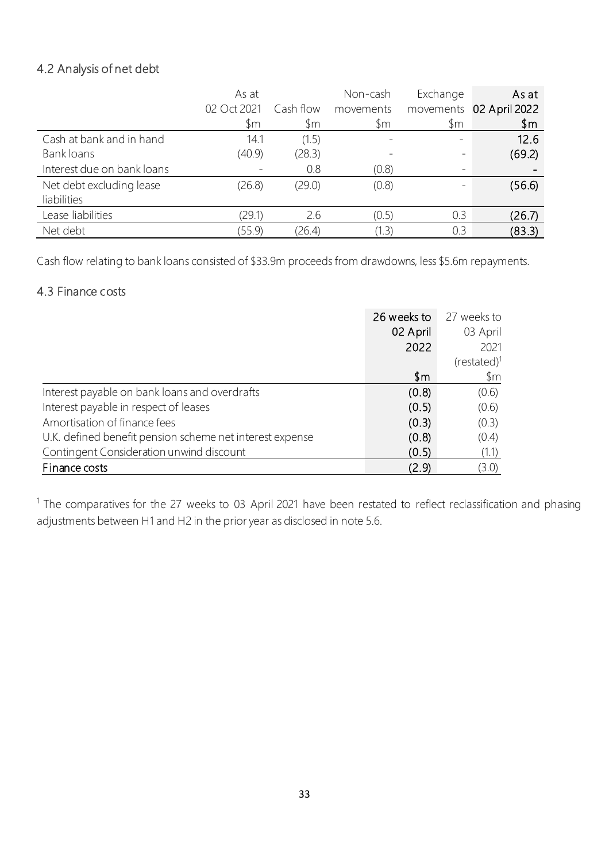# 4.2 Analysis of net debt

|                            | As at       |           | Non-cash       | Exchange                 | As at                   |
|----------------------------|-------------|-----------|----------------|--------------------------|-------------------------|
|                            | 02 Oct 2021 | Cash flow | movements      |                          | movements 02 April 2022 |
|                            | \$m         | \$m       | $\mathfrak{m}$ | \$m                      | \$m                     |
| Cash at bank and in hand   | 14.1        | (1.5)     |                | $\overline{\phantom{m}}$ | 12.6                    |
| Bank loans                 | (40.9)      | (28.3)    |                |                          | (69.2)                  |
| Interest due on bank loans |             | 0.8       | (0.8)          |                          |                         |
| Net debt excluding lease   | (26.8)      | (29.0)    | (0.8)          |                          | (56.6)                  |
| liabilities                |             |           |                |                          |                         |
| Lease liabilities          | (29.1)      | 2.6       | (0.5)          | 0.3                      | (26.7)                  |
| Net debt                   | (55.9)      | (26.4)    | (1.3)          | 0.3                      | (83.3)                  |

Cash flow relating to bank loans consisted of \$33.9m proceeds from drawdowns, less \$5.6m repayments.

# 4.3 Finance costs

|                                                          | 26 weeks to | 27 weeks to  |
|----------------------------------------------------------|-------------|--------------|
|                                                          | 02 April    | 03 April     |
|                                                          | 2022        | 2021         |
|                                                          |             | $(rested)^1$ |
|                                                          | \$m         | \$m          |
| Interest payable on bank loans and overdrafts            | (0.8)       | (0.6)        |
| Interest payable in respect of leases                    | (0.5)       | (0.6)        |
| Amortisation of finance fees                             | (0.3)       | (0.3)        |
| U.K. defined benefit pension scheme net interest expense | (0.8)       | (0.4)        |
| Contingent Consideration unwind discount                 | (0.5)       | (1.1)        |
| Finance costs                                            | (2.9)       | (3.0)        |

 $1$  The comparatives for the 27 weeks to 03 April 2021 have been restated to reflect reclassification and phasing adjustments between H1 and H2 in the prior year as disclosed in note 5.6.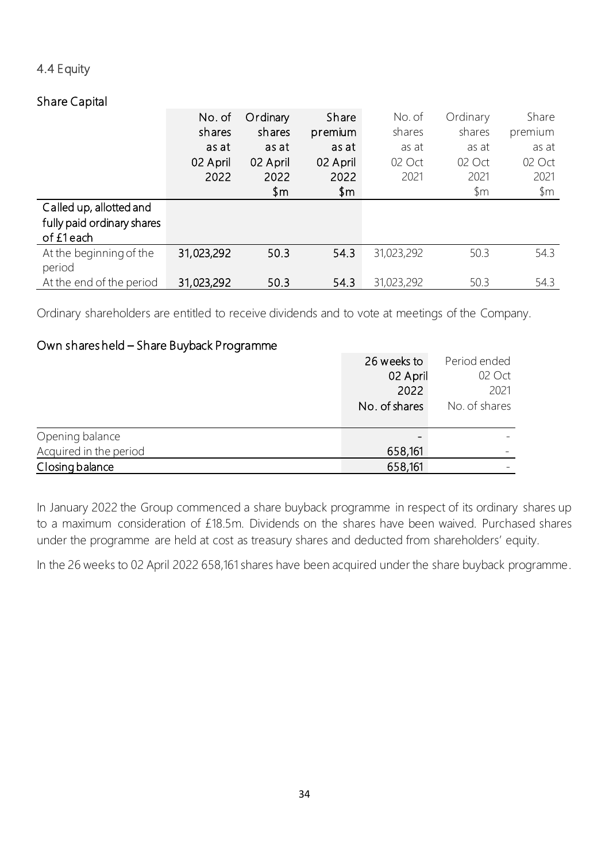### 4.4 Equity

# Share Capital

|                            | No. of     | Ordinary | Share    | No. of     | Ordinary | Share          |
|----------------------------|------------|----------|----------|------------|----------|----------------|
|                            | shares     | shares   | premium  | shares     | shares   | premium        |
|                            | as at      | as at    | as at    | as at      | as at    | as at          |
|                            | 02 April   | 02 April | 02 April | 02 Oct     | 02 Oct   | 02 Oct         |
|                            | 2022       | 2022     | 2022     | 2021       | 2021     | 2021           |
|                            |            | \$m      | \$m      |            | \$m      | $\mathfrak{m}$ |
| Called up, allotted and    |            |          |          |            |          |                |
| fully paid ordinary shares |            |          |          |            |          |                |
| of £1each                  |            |          |          |            |          |                |
| At the beginning of the    | 31,023,292 | 50.3     | 54.3     | 31,023,292 | 50.3     | 54.3           |
| period                     |            |          |          |            |          |                |
| At the end of the period   | 31,023,292 | 50.3     | 54.3     | 31,023,292 | 50.3     | 54.3           |

Ordinary shareholders are entitled to receive dividends and to vote at meetings of the Company.

# Own shares held – Share Buyback Programme

|                        | 26 weeks to   | Period ended  |
|------------------------|---------------|---------------|
|                        | 02 April      | 02 Oct        |
|                        | 2022          | 2021          |
|                        | No. of shares | No. of shares |
| Opening balance        |               |               |
| Acquired in the period | 658,161       |               |
| Closing balance        | 658,161       |               |

In January 2022 the Group commenced a share buyback programme in respect of its ordinary shares up to a maximum consideration of £18.5m. Dividends on the shares have been waived. Purchased shares under the programme are held at cost as treasury shares and deducted from shareholders' equity.

In the 26 weeks to 02 April 2022 658,161 shares have been acquired under the share buyback programme.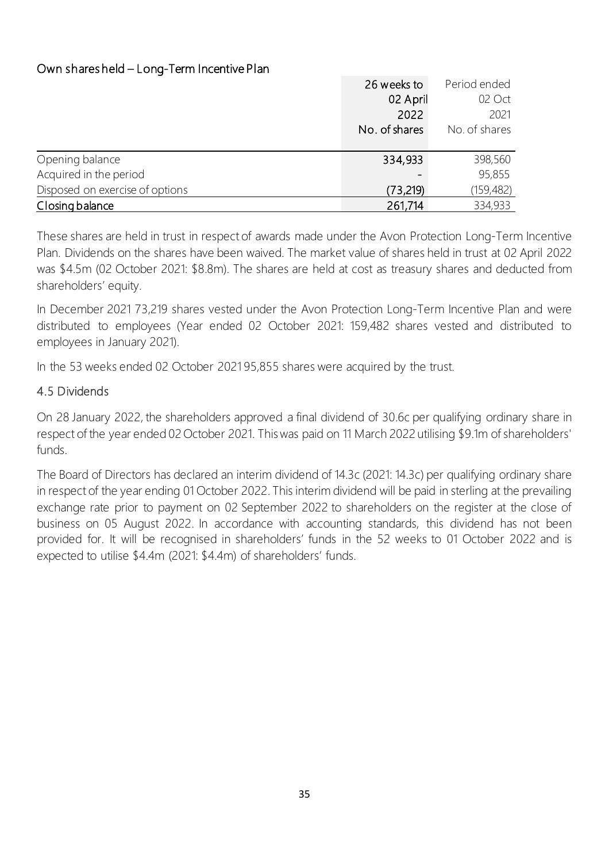# Own shares held – Long-Term Incentive Plan

|                                 | 26 weeks to   | Period ended  |
|---------------------------------|---------------|---------------|
|                                 | 02 April      | 02 Oct        |
|                                 | 2022          | 2021          |
|                                 | No. of shares | No. of shares |
|                                 |               |               |
| Opening balance                 | 334,933       | 398,560       |
| Acquired in the period          |               | 95,855        |
| Disposed on exercise of options | (73, 219)     | (159, 482)    |
| Closing balance                 | 261,714       | 334,933       |

These shares are held in trust in respect of awards made under the Avon Protection Long-Term Incentive Plan. Dividends on the shares have been waived. The market value of shares held in trust at 02 April 2022 was \$4.5m (02 October 2021: \$8.8m). The shares are held at cost as treasury shares and deducted from shareholders' equity.

In December 2021 73,219 shares vested under the Avon Protection Long-Term Incentive Plan and were distributed to employees (Year ended 02 October 2021: 159,482 shares vested and distributed to employees in January 2021).

In the 53 weeks ended 02 October 2021 95,855 shares were acquired by the trust.

# 4.5 Dividends

On 28 January 2022, the shareholders approved a final dividend of 30.6c per qualifying ordinary share in respect of the year ended 02 October 2021. This was paid on 11 March 2022 utilising \$9.1m of shareholders' funds.

The Board of Directors has declared an interim dividend of 14.3c (2021: 14.3c) per qualifying ordinary share in respect of the year ending 01 October 2022. This interim dividend will be paid in sterling at the prevailing exchange rate prior to payment on 02 September 2022 to shareholders on the register at the close of business on 05 August 2022. In accordance with accounting standards, this dividend has not been provided for. It will be recognised in shareholders' funds in the 52 weeks to 01 October 2022 and is expected to utilise \$4.4m (2021: \$4.4m) of shareholders' funds.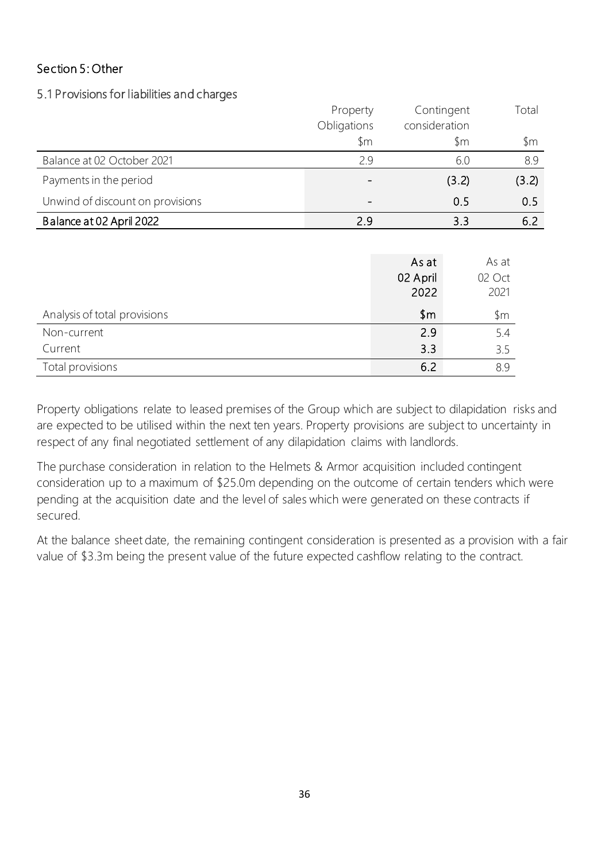# Section 5: Other

#### 5.1 Provisions for liabilities and charges

|                                  | Property    | Contingent    | Total |
|----------------------------------|-------------|---------------|-------|
|                                  | Obligations | consideration |       |
|                                  | \$m         | \$m           | \$m   |
| Balance at 02 October 2021       | 2.9         | 6.0           | 8.9   |
| Payments in the period           |             | (3.2)         | (3.2) |
| Unwind of discount on provisions |             | 0.5           | 0.5   |
| Balance at 02 April 2022         | 2.9         | 3.3           | 6.2   |

|                              | As at        | As at  |
|------------------------------|--------------|--------|
|                              | 02 April     | 02 Oct |
|                              | 2022         | 2021   |
| Analysis of total provisions | $\mathsf{m}$ | \$m    |
| Non-current                  | 2.9          | 5.4    |
| Current                      | 3.3          | 3.5    |
| Total provisions             | 6.2          | 89     |

Property obligations relate to leased premises of the Group which are subject to dilapidation risks and are expected to be utilised within the next ten years. Property provisions are subject to uncertainty in respect of any final negotiated settlement of any dilapidation claims with landlords.

The purchase consideration in relation to the Helmets & Armor acquisition included contingent consideration up to a maximum of \$25.0m depending on the outcome of certain tenders which were pending at the acquisition date and the level of sales which were generated on these contracts if secured.

At the balance sheet date, the remaining contingent consideration is presented as a provision with a fair value of \$3.3m being the present value of the future expected cashflow relating to the contract.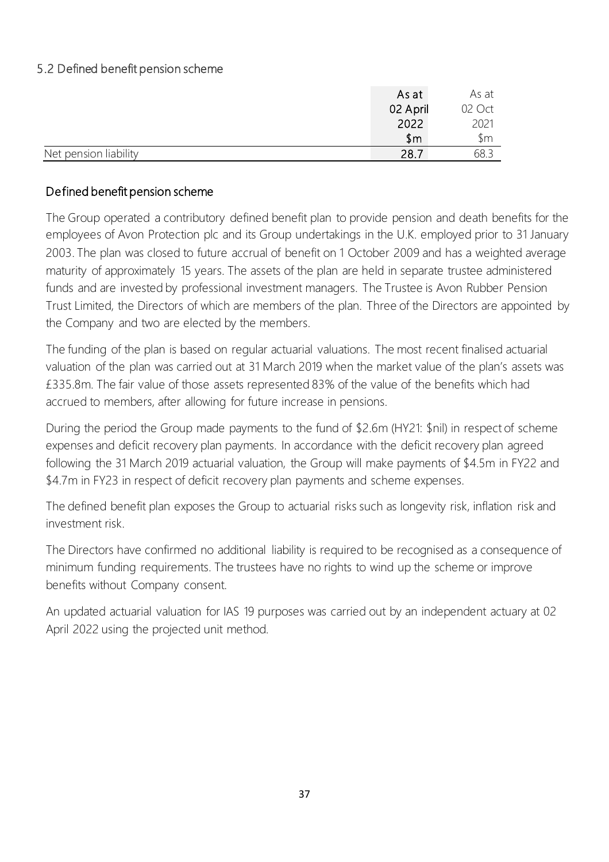# 5.2 Defined benefit pension scheme

|                       | As at    | As at  |
|-----------------------|----------|--------|
|                       | 02 April | 02 Oct |
|                       | 2022     | 2021   |
|                       | \$m      | \$m    |
| Net pension liability | 28.7     | 68.3   |

### Defined benefit pension scheme

The Group operated a contributory defined benefit plan to provide pension and death benefits for the employees of Avon Protection plc and its Group undertakings in the U.K. employed prior to 31 January 2003. The plan was closed to future accrual of benefit on 1 October 2009 and has a weighted average maturity of approximately 15 years. The assets of the plan are held in separate trustee administered funds and are invested by professional investment managers. The Trustee is Avon Rubber Pension Trust Limited, the Directors of which are members of the plan. Three of the Directors are appointed by the Company and two are elected by the members.

The funding of the plan is based on regular actuarial valuations. The most recent finalised actuarial valuation of the plan was carried out at 31 March 2019 when the market value of the plan's assets was £335.8m. The fair value of those assets represented 83% of the value of the benefits which had accrued to members, after allowing for future increase in pensions.

During the period the Group made payments to the fund of \$2.6m (HY21: \$nil) in respect of scheme expenses and deficit recovery plan payments. In accordance with the deficit recovery plan agreed following the 31 March 2019 actuarial valuation, the Group will make payments of \$4.5m in FY22 and \$4.7m in FY23 in respect of deficit recovery plan payments and scheme expenses.

The defined benefit plan exposes the Group to actuarial risks such as longevity risk, inflation risk and investment risk.

The Directors have confirmed no additional liability is required to be recognised as a consequence of minimum funding requirements. The trustees have no rights to wind up the scheme or improve benefits without Company consent.

An updated actuarial valuation for IAS 19 purposes was carried out by an independent actuary at 02 April 2022 using the projected unit method.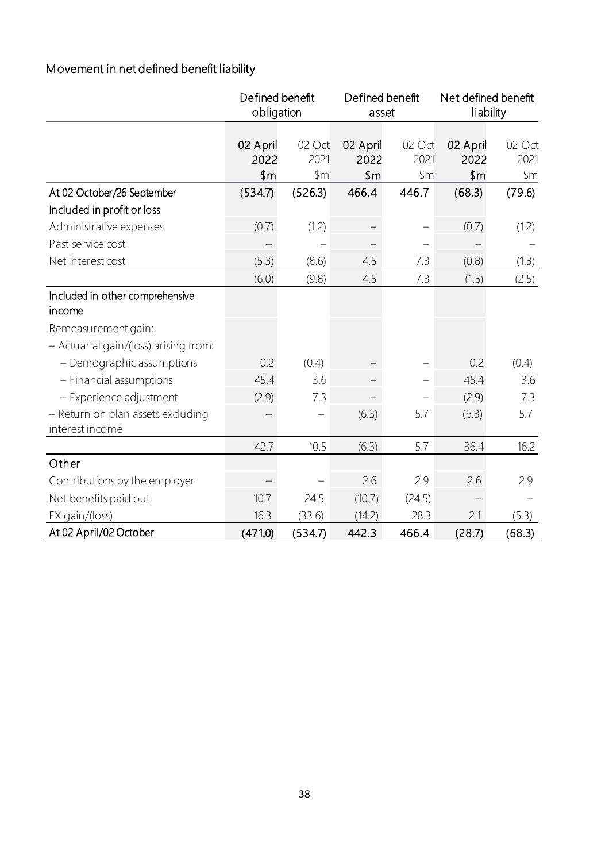# Movement in net defined benefit liability

|                                                      | Defined benefit<br>obligation |                       | Defined benefit<br>asset         |                                 | Net defined benefit<br>liability |                                    |
|------------------------------------------------------|-------------------------------|-----------------------|----------------------------------|---------------------------------|----------------------------------|------------------------------------|
|                                                      | 02 April<br>2022<br>\$m       | 02 Oct<br>2021<br>\$m | 02 April<br>2022<br>$\text{\$m}$ | 02 Oct<br>2021<br>$\mathsf{Sm}$ | 02 April<br>2022<br>\$m\$        | 02 Oct<br>2021<br>$~\,\mathrm{fm}$ |
| At 02 October/26 September                           | (534.7)                       | (526.3)               | 466.4                            | 446.7                           | (68.3)                           | (79.6)                             |
| Included in profit or loss                           |                               |                       |                                  |                                 |                                  |                                    |
| Administrative expenses                              | (0.7)                         | (1.2)                 |                                  |                                 | (0.7)                            | (1.2)                              |
| Past service cost                                    |                               |                       |                                  |                                 |                                  |                                    |
| Net interest cost                                    | (5.3)                         | (8.6)                 | 4.5                              | 7.3                             | (0.8)                            | (1.3)                              |
|                                                      | (6.0)                         | (9.8)                 | 4.5                              | 7.3                             | (1.5)                            | (2.5)                              |
| Included in other comprehensive<br>income            |                               |                       |                                  |                                 |                                  |                                    |
| Remeasurement gain:                                  |                               |                       |                                  |                                 |                                  |                                    |
| - Actuarial gain/(loss) arising from:                |                               |                       |                                  |                                 |                                  |                                    |
| - Demographic assumptions                            | 0.2                           | (0.4)                 |                                  |                                 | 0.2                              | (0.4)                              |
| - Financial assumptions                              | 45.4                          | 3.6                   |                                  |                                 | 45.4                             | 3.6                                |
| - Experience adjustment                              | (2.9)                         | 7.3                   |                                  |                                 | (2.9)                            | 7.3                                |
| - Return on plan assets excluding<br>interest income |                               |                       | (6.3)                            | 5.7                             | (6.3)                            | 5.7                                |
|                                                      | 42.7                          | 10.5                  | (6.3)                            | 5.7                             | 36.4                             | 16.2                               |
| Other                                                |                               |                       |                                  |                                 |                                  |                                    |
| Contributions by the employer                        |                               |                       | 2.6                              | 2.9                             | 2.6                              | 2.9                                |
| Net benefits paid out                                | 10.7                          | 24.5                  | (10.7)                           | (24.5)                          |                                  |                                    |
| FX gain/(loss)                                       | 16.3                          | (33.6)                | (14.2)                           | 28.3                            | 2.1                              | (5.3)                              |
| At 02 April/02 October                               | (471.0)                       | (534.7)               | 442.3                            | 466.4                           | (28.7)                           | (68.3)                             |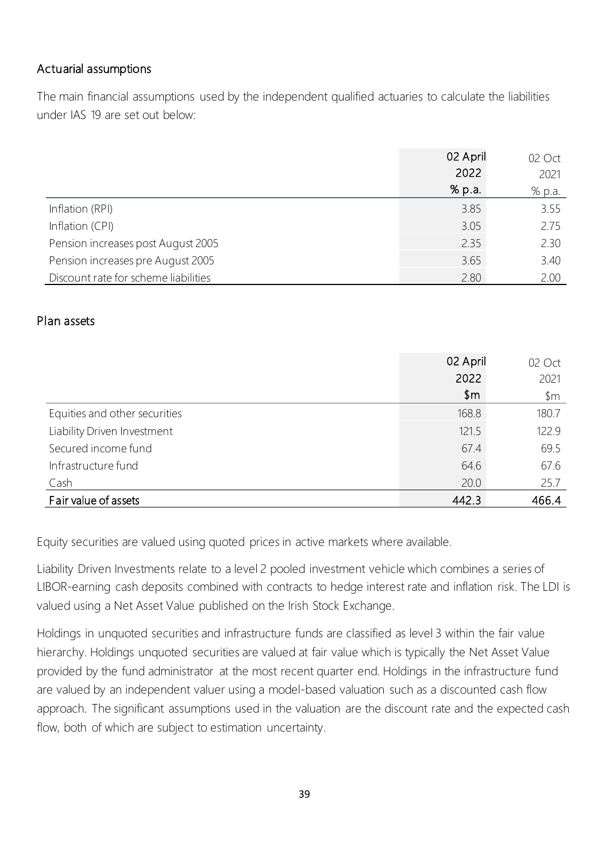# Actuarial assumptions

The main financial assumptions used by the independent qualified actuaries to calculate the liabilities under IAS 19 are set out below:

|                                      | 02 April | $\Lambda$ |
|--------------------------------------|----------|-----------|
|                                      | 2022     | 2021      |
|                                      | % p.a.   | % p.a.    |
| Inflation (RPI)                      | 385      |           |
| Inflation (CPI)                      |          |           |
| Pension increases post August 2005   | つっち      |           |
| Pension increases pre August 2005    | 365      | 340       |
| Discount rate for scheme liabilities |          |           |

#### Plan assets

|                               | 02 April | $( )$ ct |
|-------------------------------|----------|----------|
|                               | 2022     | 2021     |
|                               | \$m      | ኌm       |
| Equities and other securities | 168 R    | 180      |
| Liability Driven Investment   | 121 5    |          |
| Secured income fund           | 674      |          |
| Infrastructure fund           | 64.6     | h/h      |
| Cash                          | 20 O     | ノ5 /     |
| Fair value of assets          |          |          |

Equity securities are valued using quoted prices in active markets where available.

Liability Driven Investments relate to a level 2 pooled investment vehicle which combines a series of LIBOR-earning cash deposits combined with contracts to hedge interest rate and inflation risk. The LDI is valued using a Net Asset Value published on the Irish Stock Exchange.

Holdings in unquoted securities and infrastructure funds are classified as level 3 within the fair value hierarchy. Holdings unquoted securities are valued at fair value which is typically the Net Asset Value provided by the fund administrator at the most recent quarter end. Holdings in the infrastructure fund are valued by an independent valuer using a model-based valuation such as a discounted cash flow approach. The significant assumptions used in the valuation are the discount rate and the expected cash flow, both of which are subject to estimation uncertainty.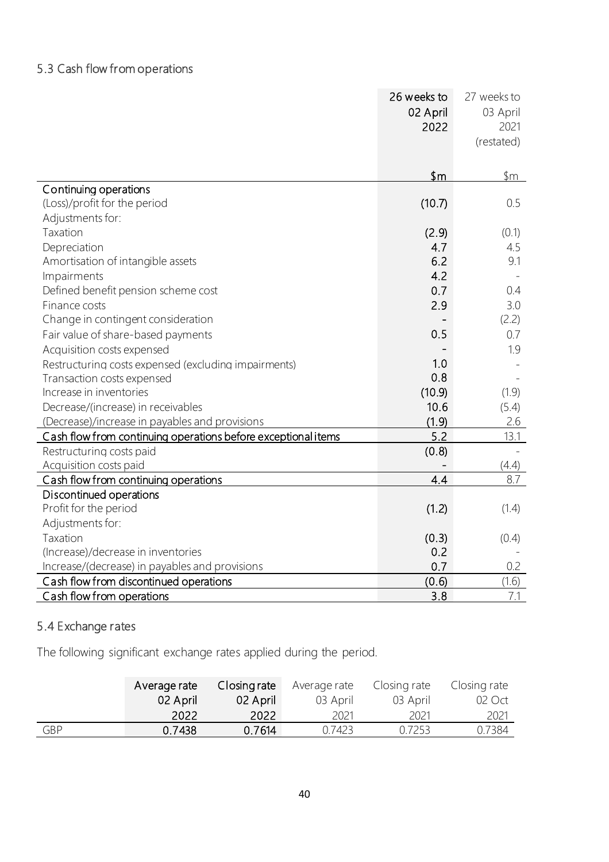# 5.3 Cash flow from operations

|                                                               | 26 weeks to  | 27 weeks to |
|---------------------------------------------------------------|--------------|-------------|
|                                                               | 02 April     | 03 April    |
|                                                               | 2022         | 2021        |
|                                                               |              | (restated)  |
|                                                               |              |             |
|                                                               | $\mathsf{m}$ | \$m         |
| Continuing operations                                         |              |             |
| (Loss)/profit for the period                                  | (10.7)       | 0.5         |
| Adjustments for:                                              |              |             |
| Taxation                                                      | (2.9)        | (0.1)       |
| Depreciation                                                  | 4.7          | 4.5         |
| Amortisation of intangible assets                             | 6.2          | 9.1         |
| Impairments                                                   | 4.2          |             |
| Defined benefit pension scheme cost                           | 0.7          | 0.4         |
| Finance costs                                                 | 2.9          | 3.0         |
| Change in contingent consideration                            |              | (2.2)       |
| Fair value of share-based payments                            | 0.5          | 0.7         |
| Acquisition costs expensed                                    |              | 1.9         |
| Restructuring costs expensed (excluding impairments)          | 1.0          |             |
| Transaction costs expensed                                    | 0.8          |             |
| Increase in inventories                                       | (10.9)       | (1.9)       |
| Decrease/(increase) in receivables                            | 10.6         | (5.4)       |
| (Decrease)/increase in payables and provisions                | (1.9)        | 2.6         |
| Cash flow from continuing operations before exceptional items | 5.2          | 13.1        |
| Restructuring costs paid                                      | (0.8)        |             |
| Acquisition costs paid                                        |              | (4.4)       |
| Cash flow from continuing operations                          | 4.4          | 8.7         |
| Discontinued operations                                       |              |             |
| Profit for the period                                         | (1.2)        | (1.4)       |
| Adjustments for:                                              |              |             |
| Taxation                                                      | (0.3)        | (0.4)       |
| (Increase)/decrease in inventories                            | 0.2          |             |
| Increase/(decrease) in payables and provisions                | 0.7          | 0.2         |
| Cash flow from discontinued operations                        | (0.6)        | (1.6)       |
| Cash flow from operations                                     | 3.8          | 7.1         |

# 5.4 Exchange rates

The following significant exchange rates applied during the period.

|            | Average rate | Closing rate | Average rate | Closing rate | Closing rate |
|------------|--------------|--------------|--------------|--------------|--------------|
|            | 02 April     | 02 April     | 03 April     | 03 April     | 02 Oct       |
|            | 2022         | 2022         | 2021         | 2021         | 2021         |
| <b>GBP</b> | 0.7438       | 0.7614       | 0.7423       | 0.7253       | 0.7384       |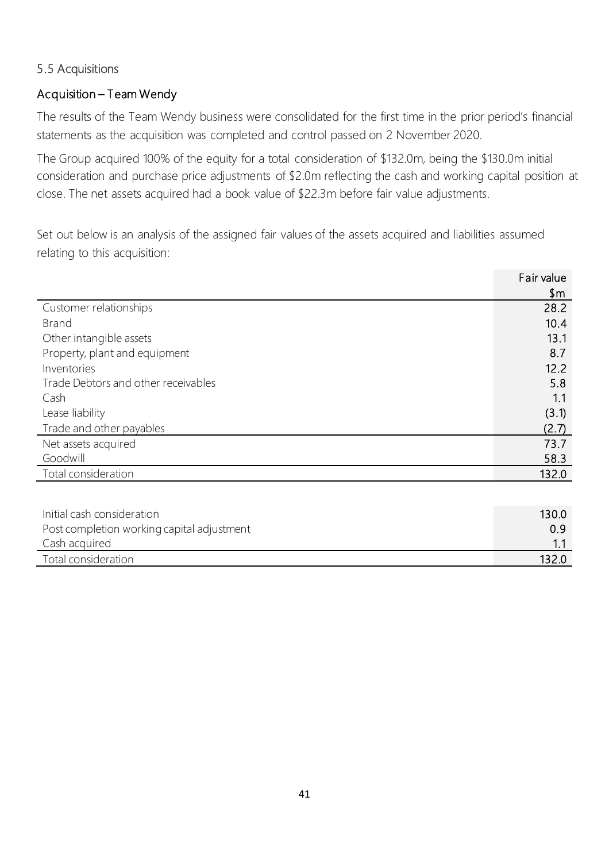# 5.5 Acquisitions

# Acquisition – Team Wendy

The results of the Team Wendy business were consolidated for the first time in the prior period's financial statements as the acquisition was completed and control passed on 2 November 2020.

The Group acquired 100% of the equity for a total consideration of \$132.0m, being the \$130.0m initial consideration and purchase price adjustments of \$2.0m reflecting the cash and working capital position at close. The net assets acquired had a book value of \$22.3m before fair value adjustments.

Set out below is an analysis of the assigned fair values of the assets acquired and liabilities assumed relating to this acquisition:

|                                     | Fair value |
|-------------------------------------|------------|
|                                     | \$m\$      |
| Customer relationships              | 28.2       |
| <b>Brand</b>                        | 10.4       |
| Other intangible assets             | 13.1       |
| Property, plant and equipment       | 8.7        |
| Inventories                         | 12.2       |
| Trade Debtors and other receivables | 5.8        |
| Cash                                | 1.1        |
| Lease liability                     | (3.1)      |
| Trade and other payables            | (2.7)      |
| Net assets acquired                 | 73.7       |
| Goodwill                            | 58.3       |
| Total consideration                 | 132.0      |
|                                     |            |

| Initial cash consideration                 | 130.0 |
|--------------------------------------------|-------|
| Post completion working capital adjustment | 0.9   |
| Cash acquired                              |       |
| Total consideration                        | 132.0 |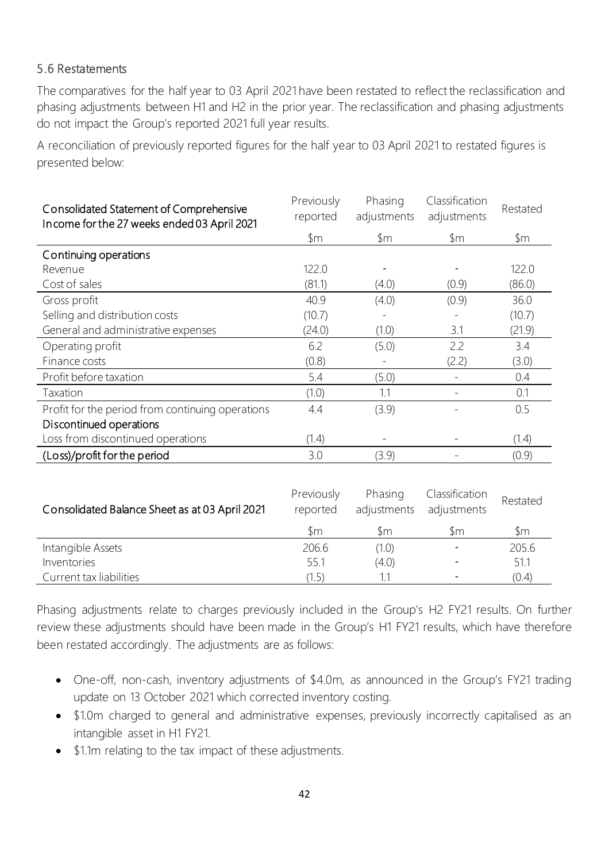# 5.6 Restatements

The comparatives for the half year to 03 April 2021 have been restated to reflect the reclassification and phasing adjustments between H1 and H2 in the prior year. The reclassification and phasing adjustments do not impact the Group's reported 2021 full year results.

A reconciliation of previously reported figures for the half year to 03 April 2021 to restated figures is presented below:

| Consolidated Statement of Comprehensive<br>Income for the 27 weeks ended 03 April 2021 | Previously<br>reported | Phasing<br>adjustments | Classification<br>adjustments | Restated |
|----------------------------------------------------------------------------------------|------------------------|------------------------|-------------------------------|----------|
|                                                                                        | $~\,\mathrm{fm}$       | $\mathsf{\$m}$         | \$m                           | \$m      |
| Continuing operations                                                                  |                        |                        |                               |          |
| Revenue                                                                                | 122.0                  |                        |                               | 122.0    |
| Cost of sales                                                                          | (81.1)                 | (4.0)                  | (0.9)                         | (86.0)   |
| Gross profit                                                                           | 40.9                   | (4.0)                  | (0.9)                         | 36.0     |
| Selling and distribution costs                                                         | (10.7)                 |                        |                               | (10.7)   |
| General and administrative expenses                                                    | (24.0)                 | (1.0)                  | 3.1                           | (21.9)   |
| Operating profit                                                                       | 6.2                    | (5.0)                  | 2.2                           | 3.4      |
| Finance costs                                                                          | (0.8)                  |                        | (2.2)                         | (3.0)    |
| Profit before taxation                                                                 | 5.4                    | (5.0)                  |                               | 0.4      |
| Taxation                                                                               | (1.0)                  | 1.1                    |                               | 0.1      |
| Profit for the period from continuing operations                                       | 4.4                    | (3.9)                  |                               | 0.5      |
| Discontinued operations                                                                |                        |                        |                               |          |
| Loss from discontinued operations                                                      | (1.4)                  |                        |                               | (1.4)    |
| (Loss)/profit for the period                                                           | 3.0                    | (3.9)                  |                               | (0.9)    |

| Consolidated Balance Sheet as at 03 April 2021 | Previously<br>reported | Phasing<br>adjustments | Classification<br>adjustments | Restated |
|------------------------------------------------|------------------------|------------------------|-------------------------------|----------|
|                                                | \$m                    | \m                     | \m                            | Sm.      |
| Intangible Assets                              | 206.6                  | (1.0)                  |                               | 205.6    |
| Inventories                                    | 55.1                   | (4.0)                  |                               | 51.1     |
| Current tax liabilities                        | (1.5                   | 1.1                    |                               | (0.4)    |

Phasing adjustments relate to charges previously included in the Group's H2 FY21 results. On further review these adjustments should have been made in the Group's H1 FY21 results, which have therefore been restated accordingly. The adjustments are as follows:

- One-off, non-cash, inventory adjustments of \$4.0m, as announced in the Group's FY21 trading update on 13 October 2021 which corrected inventory costing.
- \$1.0m charged to general and administrative expenses, previously incorrectly capitalised as an intangible asset in H1 FY21.
- \$1.1m relating to the tax impact of these adjustments.